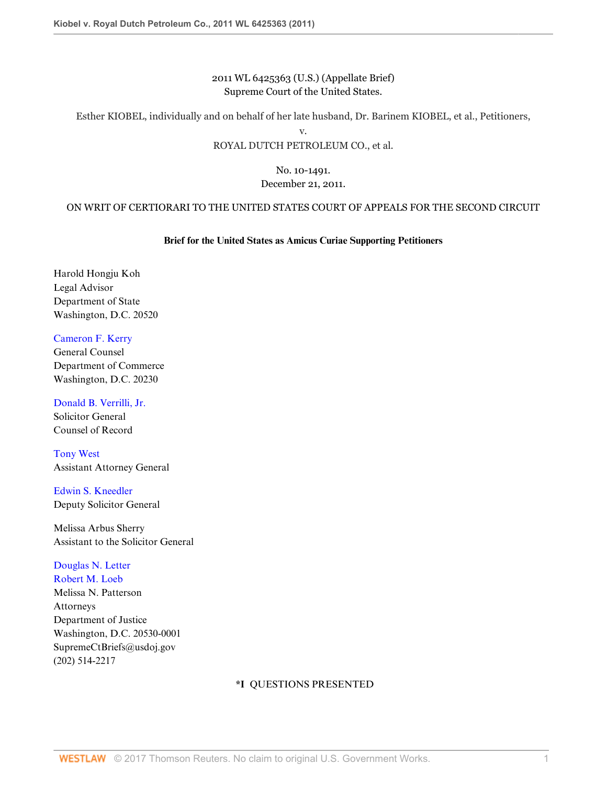# 2011 WL 6425363 (U.S.) (Appellate Brief) Supreme Court of the United States.

Esther KIOBEL, individually and on behalf of her late husband, Dr. Barinem KIOBEL, et al., Petitioners,

v.

## ROYAL DUTCH PETROLEUM CO., et al.

## No. 10-1491. December 21, 2011.

# ON WRIT OF CERTIORARI TO THE UNITED STATES COURT OF APPEALS FOR THE SECOND CIRCUIT

# **Brief for the United States as Amicus Curiae Supporting Petitioners**

Harold Hongju Koh Legal Advisor Department of State Washington, D.C. 20520

[Cameron F. Kerry](http://www.westlaw.com/Link/Document/FullText?findType=h&pubNum=176284&cite=0108875001&originatingDoc=I5855366f2d3d11e1bd928e1973ff4e60&refType=RQ&originationContext=document&vr=3.0&rs=cblt1.0&transitionType=DocumentItem&contextData=(sc.RelatedInfo)) General Counsel Department of Commerce Washington, D.C. 20230

[Donald B. Verrilli, Jr.](http://www.westlaw.com/Link/Document/FullText?findType=h&pubNum=176284&cite=0329204201&originatingDoc=I5855366f2d3d11e1bd928e1973ff4e60&refType=RQ&originationContext=document&vr=3.0&rs=cblt1.0&transitionType=DocumentItem&contextData=(sc.RelatedInfo)) Solicitor General Counsel of Record

[Tony West](http://www.westlaw.com/Link/Document/FullText?findType=h&pubNum=176284&cite=0325586401&originatingDoc=I5855366f2d3d11e1bd928e1973ff4e60&refType=RQ&originationContext=document&vr=3.0&rs=cblt1.0&transitionType=DocumentItem&contextData=(sc.RelatedInfo)) Assistant Attorney General

[Edwin S. Kneedler](http://www.westlaw.com/Link/Document/FullText?findType=h&pubNum=176284&cite=0101131601&originatingDoc=I5855366f2d3d11e1bd928e1973ff4e60&refType=RQ&originationContext=document&vr=3.0&rs=cblt1.0&transitionType=DocumentItem&contextData=(sc.RelatedInfo)) Deputy Solicitor General

Melissa Arbus Sherry Assistant to the Solicitor General

# [Douglas N. Letter](http://www.westlaw.com/Link/Document/FullText?findType=h&pubNum=176284&cite=0106041801&originatingDoc=I5855366f2d3d11e1bd928e1973ff4e60&refType=RQ&originationContext=document&vr=3.0&rs=cblt1.0&transitionType=DocumentItem&contextData=(sc.RelatedInfo))

[Robert M. Loeb](http://www.westlaw.com/Link/Document/FullText?findType=h&pubNum=176284&cite=0146849601&originatingDoc=I5855366f2d3d11e1bd928e1973ff4e60&refType=RQ&originationContext=document&vr=3.0&rs=cblt1.0&transitionType=DocumentItem&contextData=(sc.RelatedInfo)) Melissa N. Patterson Attorneys Department of Justice Washington, D.C. 20530-0001 SupremeCtBriefs@usdoj.gov (202) 514-2217

## **\*I** QUESTIONS PRESENTED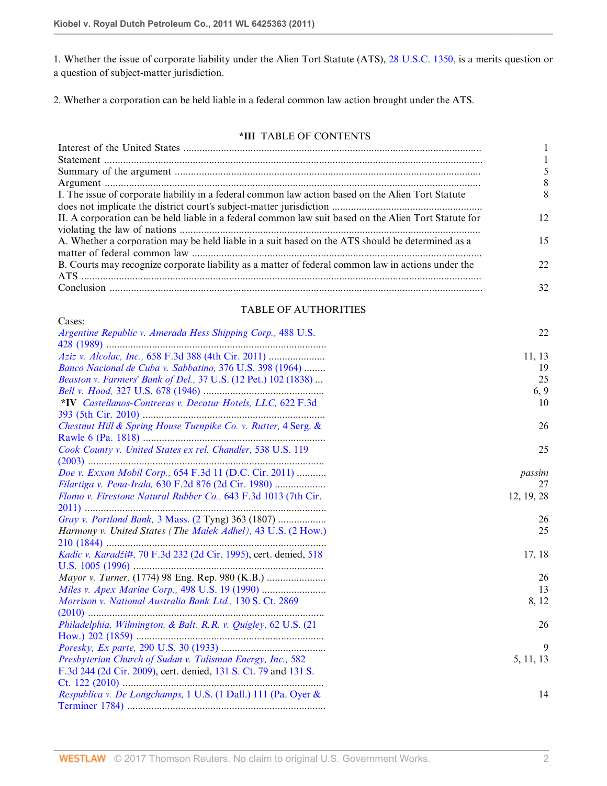1. Whether the issue of corporate liability under the Alien Tort Statute (ATS), [28 U.S.C. 1350](http://www.westlaw.com/Link/Document/FullText?findType=L&pubNum=1000546&cite=28USCAS1350&originatingDoc=I5855366f2d3d11e1bd928e1973ff4e60&refType=LQ&originationContext=document&vr=3.0&rs=cblt1.0&transitionType=DocumentItem&contextData=(sc.RelatedInfo)), is a merits question or a question of subject-matter jurisdiction.

2. Whether a corporation can be held liable in a federal common law action brought under the ATS.

## **\*III** TABLE OF CONTENTS

|                                                                                                       | 8  |
|-------------------------------------------------------------------------------------------------------|----|
| I. The issue of corporate liability in a federal common law action based on the Alien Tort Statute    |    |
|                                                                                                       |    |
| II. A corporation can be held liable in a federal common law suit based on the Alien Tort Statute for | 12 |
|                                                                                                       |    |
| A. Whether a corporation may be held liable in a suit based on the ATS should be determined as a      | 15 |
|                                                                                                       |    |
| B. Courts may recognize corporate liability as a matter of federal common law in actions under the    | 22 |
|                                                                                                       |    |
|                                                                                                       | 32 |

## TABLE OF AUTHORITIES

| Cases:                                                           |            |
|------------------------------------------------------------------|------------|
| Argentine Republic v. Amerada Hess Shipping Corp., 488 U.S.      | 22         |
|                                                                  |            |
|                                                                  | 11, 13     |
| Banco Nacional de Cuba v. Sabbatino, 376 U.S. 398 (1964)         | 19         |
| Beaston v. Farmers' Bank of Del., 37 U.S. (12 Pet.) 102 (1838)   | 25         |
|                                                                  | 6, 9       |
| *IV Castellanos-Contreras v. Decatur Hotels, LLC, 622 F.3d       | 10         |
|                                                                  |            |
| Chestnut Hill & Spring House Turnpike Co. v. Rutter, 4 Serg. &   | 26         |
|                                                                  |            |
| Cook County v. United States ex rel. Chandler, 538 U.S. 119      | 25         |
|                                                                  |            |
| Doe v. Exxon Mobil Corp., 654 F.3d 11 (D.C. Cir. 2011)           | passim     |
| Filartiga v. Pena-Irala, 630 F.2d 876 (2d Cir. 1980)             | 27         |
| Flomo v. Firestone Natural Rubber Co., 643 F.3d 1013 (7th Cir.   | 12, 19, 28 |
|                                                                  |            |
| Gray v. Portland Bank, 3 Mass. (2 Tyng) 363 (1807)               | 26         |
| Harmony v. United States (The Malek Adhel), 43 U.S. (2 How.)     | 25         |
|                                                                  |            |
| Kadic v. Karadži#, 70 F.3d 232 (2d Cir. 1995), cert. denied, 518 | 17, 18     |
|                                                                  |            |
| Mayor v. Turner, (1774) 98 Eng. Rep. 980 (K.B.)                  | 26         |
|                                                                  | 13         |
| Morrison v. National Australia Bank Ltd., 130 S. Ct. 2869        | 8, 12      |
|                                                                  |            |
| Philadelphia, Wilmington, & Balt. R.R. v. Quigley, 62 U.S. (21)  | 26         |
|                                                                  |            |
|                                                                  | 9          |
| Presbyterian Church of Sudan v. Talisman Energy, Inc., 582       | 5, 11, 13  |
| F.3d 244 (2d Cir. 2009), cert. denied, 131 S. Ct. 79 and 131 S.  |            |
|                                                                  |            |
| Respublica v. De Longchamps, 1 U.S. (1 Dall.) 111 (Pa. Oyer &    | 14         |
|                                                                  |            |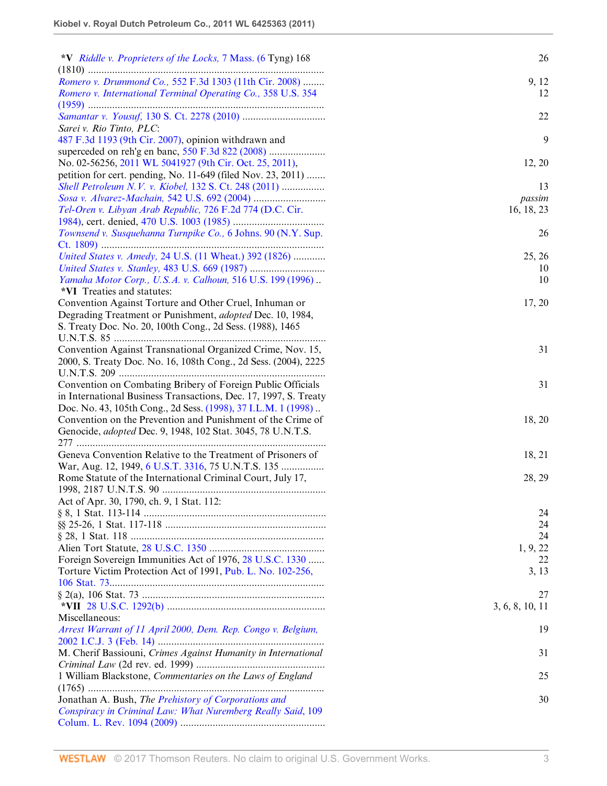| *V Riddle v. Proprieters of the Locks, 7 Mass. (6 Tyng) 168                                                                                                                                                                                                                                                                                                                     | 26                   |
|---------------------------------------------------------------------------------------------------------------------------------------------------------------------------------------------------------------------------------------------------------------------------------------------------------------------------------------------------------------------------------|----------------------|
|                                                                                                                                                                                                                                                                                                                                                                                 |                      |
| Romero v. Drummond Co., 552 F.3d 1303 (11th Cir. 2008)                                                                                                                                                                                                                                                                                                                          | 9, 12                |
| Romero v. International Terminal Operating Co., 358 U.S. 354                                                                                                                                                                                                                                                                                                                    | 12                   |
| Sarei v. Rio Tinto, PLC:                                                                                                                                                                                                                                                                                                                                                        | 22                   |
| 487 F.3d 1193 (9th Cir. 2007), opinion withdrawn and                                                                                                                                                                                                                                                                                                                            | 9                    |
|                                                                                                                                                                                                                                                                                                                                                                                 |                      |
| No. 02-56256, 2011 WL 5041927 (9th Cir. Oct. 25, 2011),                                                                                                                                                                                                                                                                                                                         | 12, 20               |
| petition for cert. pending, No. 11-649 (filed Nov. 23, 2011)                                                                                                                                                                                                                                                                                                                    |                      |
| Shell Petroleum N.V. v. Kiobel, 132 S. Ct. 248 (2011)                                                                                                                                                                                                                                                                                                                           | 13                   |
|                                                                                                                                                                                                                                                                                                                                                                                 |                      |
| Tel-Oren v. Libyan Arab Republic, 726 F.2d 774 (D.C. Cir.                                                                                                                                                                                                                                                                                                                       | passim<br>16, 18, 23 |
|                                                                                                                                                                                                                                                                                                                                                                                 |                      |
| Townsend v. Susquehanna Turnpike Co., 6 Johns. 90 (N.Y. Sup.                                                                                                                                                                                                                                                                                                                    | 26                   |
|                                                                                                                                                                                                                                                                                                                                                                                 |                      |
| United States v. Amedy, 24 U.S. (11 Wheat.) 392 (1826)                                                                                                                                                                                                                                                                                                                          | 25, 26               |
|                                                                                                                                                                                                                                                                                                                                                                                 | 10                   |
| Yamaha Motor Corp., U.S.A. v. Calhoun, 516 U.S. 199 (1996)                                                                                                                                                                                                                                                                                                                      | 10                   |
| *VI Treaties and statutes:                                                                                                                                                                                                                                                                                                                                                      |                      |
| Convention Against Torture and Other Cruel, Inhuman or                                                                                                                                                                                                                                                                                                                          | 17, 20               |
| Degrading Treatment or Punishment, adopted Dec. 10, 1984,                                                                                                                                                                                                                                                                                                                       |                      |
| S. Treaty Doc. No. 20, 100th Cong., 2d Sess. (1988), 1465                                                                                                                                                                                                                                                                                                                       |                      |
|                                                                                                                                                                                                                                                                                                                                                                                 |                      |
| Convention Against Transnational Organized Crime, Nov. 15,                                                                                                                                                                                                                                                                                                                      | 31                   |
| 2000, S. Treaty Doc. No. 16, 108th Cong., 2d Sess. (2004), 2225                                                                                                                                                                                                                                                                                                                 |                      |
|                                                                                                                                                                                                                                                                                                                                                                                 |                      |
| Convention on Combating Bribery of Foreign Public Officials                                                                                                                                                                                                                                                                                                                     | 31                   |
| in International Business Transactions, Dec. 17, 1997, S. Treaty                                                                                                                                                                                                                                                                                                                |                      |
| Doc. No. 43, 105th Cong., 2d Sess. (1998), 37 I.L.M. 1 (1998)                                                                                                                                                                                                                                                                                                                   |                      |
| Convention on the Prevention and Punishment of the Crime of                                                                                                                                                                                                                                                                                                                     | 18, 20               |
| Genocide, <i>adopted</i> Dec. 9, 1948, 102 Stat. 3045, 78 U.N.T.S.                                                                                                                                                                                                                                                                                                              |                      |
|                                                                                                                                                                                                                                                                                                                                                                                 |                      |
| Geneva Convention Relative to the Treatment of Prisoners of                                                                                                                                                                                                                                                                                                                     | 18, 21               |
| War, Aug. 12, 1949, 6 U.S.T. 3316, 75 U.N.T.S. 135                                                                                                                                                                                                                                                                                                                              |                      |
| Rome Statute of the International Criminal Court, July 17,                                                                                                                                                                                                                                                                                                                      | 28, 29               |
|                                                                                                                                                                                                                                                                                                                                                                                 |                      |
| Act of Apr. 30, 1790, ch. 9, 1 Stat. 112:                                                                                                                                                                                                                                                                                                                                       |                      |
|                                                                                                                                                                                                                                                                                                                                                                                 | 24                   |
|                                                                                                                                                                                                                                                                                                                                                                                 | 24                   |
| $§ 28, 1 \text{ Stat. } 118 \dots 118 \dots 118 \dots 118 \dots 118 \dots 118 \dots 118 \dots 118 \dots 118 \dots 118 \dots 118 \dots 118 \dots 118 \dots 118 \dots 118 \dots 118 \dots 118 \dots 118 \dots 118 \dots 118 \dots 118 \dots 118 \dots 118 \dots 118 \dots 118 \dots 118 \dots 118 \dots 118 \dots 118 \dots 118 \dots 118 \dots 118 \dots 118 \dots 118 \dots 11$ | 24                   |
|                                                                                                                                                                                                                                                                                                                                                                                 | 1, 9, 22             |
| Foreign Sovereign Immunities Act of 1976, 28 U.S.C. 1330                                                                                                                                                                                                                                                                                                                        | 22                   |
| Torture Victim Protection Act of 1991, Pub. L. No. 102-256,                                                                                                                                                                                                                                                                                                                     | 3, 13                |
|                                                                                                                                                                                                                                                                                                                                                                                 |                      |
|                                                                                                                                                                                                                                                                                                                                                                                 | 27                   |
|                                                                                                                                                                                                                                                                                                                                                                                 | 3, 6, 8, 10, 11      |
| Miscellaneous:                                                                                                                                                                                                                                                                                                                                                                  |                      |
| Arrest Warrant of 11 April 2000, Dem. Rep. Congo v. Belgium,                                                                                                                                                                                                                                                                                                                    | 19                   |
|                                                                                                                                                                                                                                                                                                                                                                                 |                      |
| M. Cherif Bassiouni, Crimes Against Humanity in International                                                                                                                                                                                                                                                                                                                   | 31                   |
|                                                                                                                                                                                                                                                                                                                                                                                 |                      |
| 1 William Blackstone, Commentaries on the Laws of England                                                                                                                                                                                                                                                                                                                       | 25                   |
|                                                                                                                                                                                                                                                                                                                                                                                 |                      |
| Jonathan A. Bush, The Prehistory of Corporations and                                                                                                                                                                                                                                                                                                                            | 30                   |
| Conspiracy in Criminal Law: What Nuremberg Really Said, 109                                                                                                                                                                                                                                                                                                                     |                      |
|                                                                                                                                                                                                                                                                                                                                                                                 |                      |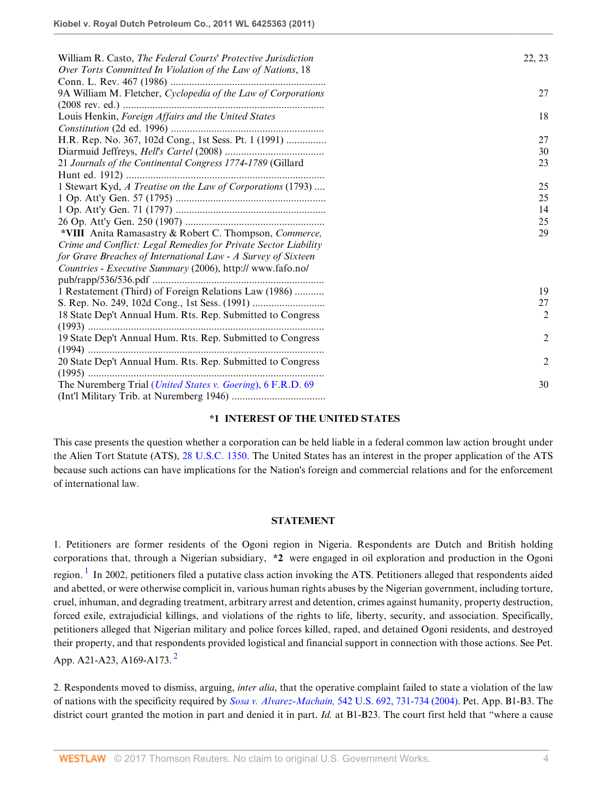| William R. Casto, <i>The Federal Courts' Protective Jurisdiction</i> | 22, 23         |
|----------------------------------------------------------------------|----------------|
| Over Torts Committed In Violation of the Law of Nations, 18          |                |
|                                                                      |                |
| 9A William M. Fletcher, Cyclopedia of the Law of Corporations        | 27             |
|                                                                      |                |
| Louis Henkin, Foreign Affairs and the United States                  | 18             |
|                                                                      |                |
| H.R. Rep. No. 367, 102d Cong., 1st Sess. Pt. 1 (1991)                | 27             |
|                                                                      | 30             |
| 21 Journals of the Continental Congress 1774-1789 (Gillard           | 23             |
|                                                                      |                |
| 1 Stewart Kyd, A Treatise on the Law of Corporations (1793)          | 25             |
|                                                                      | 25             |
|                                                                      | 14             |
|                                                                      | 25             |
| *VIII Anita Ramasastry & Robert C. Thompson, Commerce,               | 29             |
| Crime and Conflict: Legal Remedies for Private Sector Liability      |                |
| for Grave Breaches of International Law - A Survey of Sixteen        |                |
| Countries - Executive Summary (2006), http:// www.fafo.no/           |                |
|                                                                      |                |
| 1 Restatement (Third) of Foreign Relations Law (1986)                | 19             |
|                                                                      | 27             |
| 18 State Dep't Annual Hum. Rts. Rep. Submitted to Congress           | $\overline{2}$ |
|                                                                      |                |
| 19 State Dep't Annual Hum. Rts. Rep. Submitted to Congress           | $\overline{c}$ |
|                                                                      |                |
| 20 State Dep't Annual Hum. Rts. Rep. Submitted to Congress           | $\overline{2}$ |
|                                                                      |                |
| The Nuremberg Trial ( <i>United States v. Goering</i> ), 6 F.R.D. 69 | 30             |
|                                                                      |                |

### **\*1 INTEREST OF THE UNITED STATES**

This case presents the question whether a corporation can be held liable in a federal common law action brought under the Alien Tort Statute (ATS), [28 U.S.C. 1350](http://www.westlaw.com/Link/Document/FullText?findType=L&pubNum=1000546&cite=28USCAS1350&originatingDoc=I5855366f2d3d11e1bd928e1973ff4e60&refType=LQ&originationContext=document&vr=3.0&rs=cblt1.0&transitionType=DocumentItem&contextData=(sc.RelatedInfo)). The United States has an interest in the proper application of the ATS because such actions can have implications for the Nation's foreign and commercial relations and for the enforcement of international law.

#### **STATEMENT**

<span id="page-3-0"></span>1. Petitioners are former residents of the Ogoni region in Nigeria. Respondents are Dutch and British holding corporations that, through a Nigerian subsidiary, **\*2** were engaged in oil exploration and production in the Ogoni region. <sup>[1](#page-13-0)</sup> In 2002, petitioners filed a putative class action invoking the ATS. Petitioners alleged that respondents aided and abetted, or were otherwise complicit in, various human rights abuses by the Nigerian government, including torture, cruel, inhuman, and degrading treatment, arbitrary arrest and detention, crimes against humanity, property destruction, forced exile, extrajudicial killings, and violations of the rights to life, liberty, security, and association. Specifically, petitioners alleged that Nigerian military and police forces killed, raped, and detained Ogoni residents, and destroyed their property, and that respondents provided logistical and financial support in connection with those actions. See Pet. App. A[2](#page-13-1)1-A23, A169-A173.<sup>2</sup>

<span id="page-3-1"></span>2. Respondents moved to dismiss, arguing, *inter alia*, that the operative complaint failed to state a violation of the law of nations with the specificity required by *Sosa v. Alvarez-Machain,* [542 U.S. 692, 731-734 \(2004\).](http://www.westlaw.com/Link/Document/FullText?findType=Y&serNum=2004637442&pubNum=780&originatingDoc=I5855366f2d3d11e1bd928e1973ff4e60&refType=RP&fi=co_pp_sp_780_731&originationContext=document&vr=3.0&rs=cblt1.0&transitionType=DocumentItem&contextData=(sc.RelatedInfo)#co_pp_sp_780_731) Pet. App. B1-B3. The district court granted the motion in part and denied it in part. *Id.* at B1-B23. The court first held that "where a cause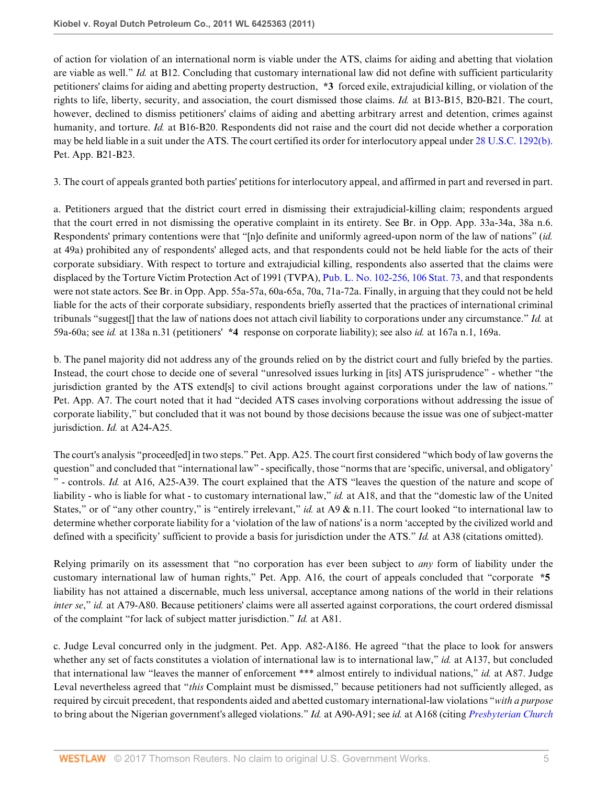of action for violation of an international norm is viable under the ATS, claims for aiding and abetting that violation are viable as well." *Id.* at B12. Concluding that customary international law did not define with sufficient particularity petitioners' claims for aiding and abetting property destruction, **\*3** forced exile, extrajudicial killing, or violation of the rights to life, liberty, security, and association, the court dismissed those claims. *Id.* at B13-B15, B20-B21. The court, however, declined to dismiss petitioners' claims of aiding and abetting arbitrary arrest and detention, crimes against humanity, and torture. *Id.* at B16-B20. Respondents did not raise and the court did not decide whether a corporation may be held liable in a suit under the ATS. The court certified its order for interlocutory appeal under [28 U.S.C. 1292\(b\)](http://www.westlaw.com/Link/Document/FullText?findType=L&pubNum=1000546&cite=28USCAS1292&originatingDoc=I5855366f2d3d11e1bd928e1973ff4e60&refType=RB&originationContext=document&vr=3.0&rs=cblt1.0&transitionType=DocumentItem&contextData=(sc.RelatedInfo)#co_pp_a83b000018c76). Pet. App. B21-B23.

3. The court of appeals granted both parties' petitions for interlocutory appeal, and affirmed in part and reversed in part.

a. Petitioners argued that the district court erred in dismissing their extrajudicial-killing claim; respondents argued that the court erred in not dismissing the operative complaint in its entirety. See Br. in Opp. App. 33a-34a, 38a n.6. Respondents' primary contentions were that "[n]o definite and uniformly agreed-upon norm of the law of nations" (*id.* at 49a) prohibited any of respondents' alleged acts, and that respondents could not be held liable for the acts of their corporate subsidiary. With respect to torture and extrajudicial killing, respondents also asserted that the claims were displaced by the Torture Victim Protection Act of 1991 (TVPA), [Pub. L. No. 102-256, 106 Stat. 73,](http://www.westlaw.com/Link/Document/FullText?findType=l&pubNum=1077005&cite=UUID(I20464EE361-0D411C8BBEA-5E36689B0C6)&originatingDoc=I5855366f2d3d11e1bd928e1973ff4e60&refType=SL&originationContext=document&vr=3.0&rs=cblt1.0&transitionType=DocumentItem&contextData=(sc.RelatedInfo)) and that respondents were not state actors. See Br. in Opp. App. 55a-57a, 60a-65a, 70a, 71a-72a. Finally, in arguing that they could not be held liable for the acts of their corporate subsidiary, respondents briefly asserted that the practices of international criminal tribunals "suggest[] that the law of nations does not attach civil liability to corporations under any circumstance." *Id.* at 59a-60a; see *id.* at 138a n.31 (petitioners' **\*4** response on corporate liability); see also *id.* at 167a n.1, 169a.

b. The panel majority did not address any of the grounds relied on by the district court and fully briefed by the parties. Instead, the court chose to decide one of several "unresolved issues lurking in [its] ATS jurisprudence" - whether "the jurisdiction granted by the ATS extend[s] to civil actions brought against corporations under the law of nations." Pet. App. A7. The court noted that it had "decided ATS cases involving corporations without addressing the issue of corporate liability," but concluded that it was not bound by those decisions because the issue was one of subject-matter jurisdiction. *Id.* at A24-A25.

The court's analysis "proceed[ed] in two steps." Pet. App. A25. The court first considered "which body of law governs the question" and concluded that "international law" - specifically, those "norms that are 'specific, universal, and obligatory' " - controls. *Id.* at A16, A25-A39. The court explained that the ATS "leaves the question of the nature and scope of liability - who is liable for what - to customary international law," *id.* at A18, and that the "domestic law of the United States," or of "any other country," is "entirely irrelevant," *id.* at A9 & n.11. The court looked "to international law to determine whether corporate liability for a 'violation of the law of nations' is a norm 'accepted by the civilized world and defined with a specificity' sufficient to provide a basis for jurisdiction under the ATS." *Id.* at A38 (citations omitted).

Relying primarily on its assessment that "no corporation has ever been subject to *any* form of liability under the customary international law of human rights," Pet. App. A16, the court of appeals concluded that "corporate **\*5** liability has not attained a discernable, much less universal, acceptance among nations of the world in their relations *inter se*," *id.* at A79-A80. Because petitioners' claims were all asserted against corporations, the court ordered dismissal of the complaint "for lack of subject matter jurisdiction." *Id.* at A81.

c. Judge Leval concurred only in the judgment. Pet. App. A82-A186. He agreed "that the place to look for answers whether any set of facts constitutes a violation of international law is to international law," *id.* at A137, but concluded that international law "leaves the manner of enforcement \*\*\* almost entirely to individual nations," *id.* at A87. Judge Leval nevertheless agreed that "*this* Complaint must be dismissed," because petitioners had not sufficiently alleged, as required by circuit precedent, that respondents aided and abetted customary international-law violations "*with a purpose* to bring about the Nigerian government's alleged violations." *Id.* at A90-A91; see *id.* at A168 (citing *[Presbyterian Church](http://www.westlaw.com/Link/Document/FullText?findType=Y&serNum=2019944807&pubNum=506&originatingDoc=I5855366f2d3d11e1bd928e1973ff4e60&refType=RP&fi=co_pp_sp_506_259&originationContext=document&vr=3.0&rs=cblt1.0&transitionType=DocumentItem&contextData=(sc.RelatedInfo)#co_pp_sp_506_259)*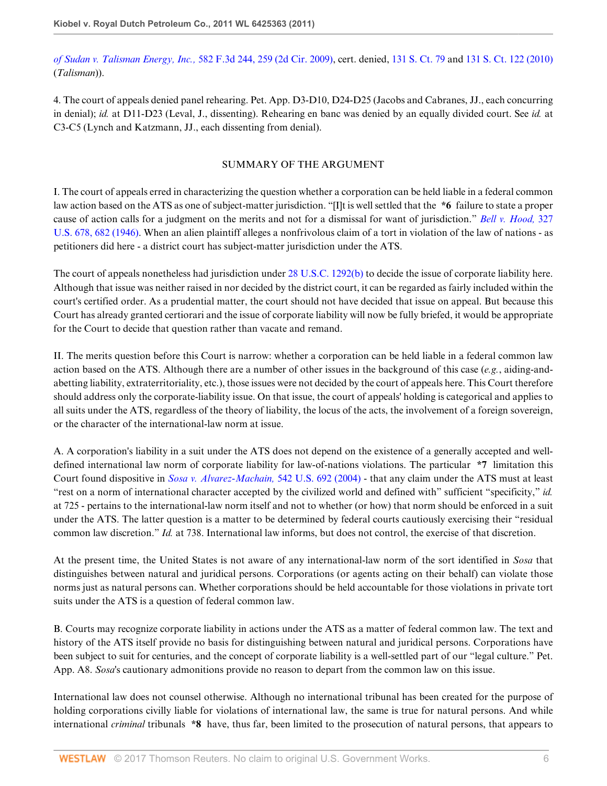*[of Sudan v. Talisman Energy, Inc.,](http://www.westlaw.com/Link/Document/FullText?findType=Y&serNum=2019944807&pubNum=506&originatingDoc=I5855366f2d3d11e1bd928e1973ff4e60&refType=RP&fi=co_pp_sp_506_259&originationContext=document&vr=3.0&rs=cblt1.0&transitionType=DocumentItem&contextData=(sc.RelatedInfo)#co_pp_sp_506_259)* 582 F.3d 244, 259 (2d Cir. 2009), cert. denied, [131 S. Ct. 79](http://www.westlaw.com/Link/Document/FullText?findType=Y&serNum=2021807060&pubNum=708&originatingDoc=I5855366f2d3d11e1bd928e1973ff4e60&refType=RP&originationContext=document&vr=3.0&rs=cblt1.0&transitionType=DocumentItem&contextData=(sc.RelatedInfo)) and [131 S. Ct. 122 \(2010\)](http://www.westlaw.com/Link/Document/FullText?findType=Y&serNum=2022127920&pubNum=708&originatingDoc=I5855366f2d3d11e1bd928e1973ff4e60&refType=RP&originationContext=document&vr=3.0&rs=cblt1.0&transitionType=DocumentItem&contextData=(sc.RelatedInfo)) (*Talisman*)).

4. The court of appeals denied panel rehearing. Pet. App. D3-D10, D24-D25 (Jacobs and Cabranes, JJ., each concurring in denial); *id.* at D11-D23 (Leval, J., dissenting). Rehearing en banc was denied by an equally divided court. See *id.* at C3-C5 (Lynch and Katzmann, JJ., each dissenting from denial).

# SUMMARY OF THE ARGUMENT

I. The court of appeals erred in characterizing the question whether a corporation can be held liable in a federal common law action based on the ATS as one of subject-matter jurisdiction. "[I]t is well settled that the **\*6** failure to state a proper cause of action calls for a judgment on the merits and not for a dismissal for want of jurisdiction." *[Bell v. Hood,](http://www.westlaw.com/Link/Document/FullText?findType=Y&serNum=1946112790&pubNum=780&originatingDoc=I5855366f2d3d11e1bd928e1973ff4e60&refType=RP&fi=co_pp_sp_780_682&originationContext=document&vr=3.0&rs=cblt1.0&transitionType=DocumentItem&contextData=(sc.RelatedInfo)#co_pp_sp_780_682)* 327 [U.S. 678, 682 \(1946\).](http://www.westlaw.com/Link/Document/FullText?findType=Y&serNum=1946112790&pubNum=780&originatingDoc=I5855366f2d3d11e1bd928e1973ff4e60&refType=RP&fi=co_pp_sp_780_682&originationContext=document&vr=3.0&rs=cblt1.0&transitionType=DocumentItem&contextData=(sc.RelatedInfo)#co_pp_sp_780_682) When an alien plaintiff alleges a nonfrivolous claim of a tort in violation of the law of nations - as petitioners did here - a district court has subject-matter jurisdiction under the ATS.

The court of appeals nonetheless had jurisdiction under [28 U.S.C. 1292\(b\)](http://www.westlaw.com/Link/Document/FullText?findType=L&pubNum=1000546&cite=28USCAS1292&originatingDoc=I5855366f2d3d11e1bd928e1973ff4e60&refType=RB&originationContext=document&vr=3.0&rs=cblt1.0&transitionType=DocumentItem&contextData=(sc.RelatedInfo)#co_pp_a83b000018c76) to decide the issue of corporate liability here. Although that issue was neither raised in nor decided by the district court, it can be regarded as fairly included within the court's certified order. As a prudential matter, the court should not have decided that issue on appeal. But because this Court has already granted certiorari and the issue of corporate liability will now be fully briefed, it would be appropriate for the Court to decide that question rather than vacate and remand.

II. The merits question before this Court is narrow: whether a corporation can be held liable in a federal common law action based on the ATS. Although there are a number of other issues in the background of this case (*e.g.*, aiding-andabetting liability, extraterritoriality, etc.), those issues were not decided by the court of appeals here. This Court therefore should address only the corporate-liability issue. On that issue, the court of appeals' holding is categorical and applies to all suits under the ATS, regardless of the theory of liability, the locus of the acts, the involvement of a foreign sovereign, or the character of the international-law norm at issue.

A. A corporation's liability in a suit under the ATS does not depend on the existence of a generally accepted and welldefined international law norm of corporate liability for law-of-nations violations. The particular **\*7** limitation this Court found dispositive in *[Sosa v. Alvarez-Machain,](http://www.westlaw.com/Link/Document/FullText?findType=Y&serNum=2004637442&pubNum=780&originatingDoc=I5855366f2d3d11e1bd928e1973ff4e60&refType=RP&originationContext=document&vr=3.0&rs=cblt1.0&transitionType=DocumentItem&contextData=(sc.RelatedInfo))* 542 U.S. 692 (2004) - that any claim under the ATS must at least "rest on a norm of international character accepted by the civilized world and defined with" sufficient "specificity," *id.* at 725 - pertains to the international-law norm itself and not to whether (or how) that norm should be enforced in a suit under the ATS. The latter question is a matter to be determined by federal courts cautiously exercising their "residual common law discretion." *Id.* at 738. International law informs, but does not control, the exercise of that discretion.

At the present time, the United States is not aware of any international-law norm of the sort identified in *Sosa* that distinguishes between natural and juridical persons. Corporations (or agents acting on their behalf) can violate those norms just as natural persons can. Whether corporations should be held accountable for those violations in private tort suits under the ATS is a question of federal common law.

B. Courts may recognize corporate liability in actions under the ATS as a matter of federal common law. The text and history of the ATS itself provide no basis for distinguishing between natural and juridical persons. Corporations have been subject to suit for centuries, and the concept of corporate liability is a well-settled part of our "legal culture." Pet. App. A8. *Sosa*'s cautionary admonitions provide no reason to depart from the common law on this issue.

International law does not counsel otherwise. Although no international tribunal has been created for the purpose of holding corporations civilly liable for violations of international law, the same is true for natural persons. And while international *criminal* tribunals **\*8** have, thus far, been limited to the prosecution of natural persons, that appears to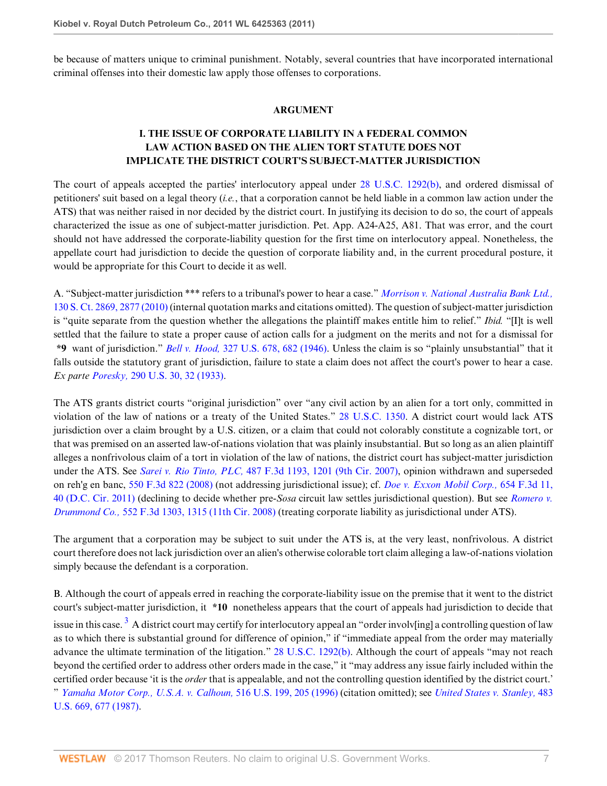be because of matters unique to criminal punishment. Notably, several countries that have incorporated international criminal offenses into their domestic law apply those offenses to corporations.

## **ARGUMENT**

# **I. THE ISSUE OF CORPORATE LIABILITY IN A FEDERAL COMMON LAW ACTION BASED ON THE ALIEN TORT STATUTE DOES NOT IMPLICATE THE DISTRICT COURT'S SUBJECT-MATTER JURISDICTION**

The court of appeals accepted the parties' interlocutory appeal under [28 U.S.C. 1292\(b\),](http://www.westlaw.com/Link/Document/FullText?findType=L&pubNum=1000546&cite=28USCAS1292&originatingDoc=I5855366f2d3d11e1bd928e1973ff4e60&refType=RB&originationContext=document&vr=3.0&rs=cblt1.0&transitionType=DocumentItem&contextData=(sc.RelatedInfo)#co_pp_a83b000018c76) and ordered dismissal of petitioners' suit based on a legal theory (*i.e.*, that a corporation cannot be held liable in a common law action under the ATS) that was neither raised in nor decided by the district court. In justifying its decision to do so, the court of appeals characterized the issue as one of subject-matter jurisdiction. Pet. App. A24-A25, A81. That was error, and the court should not have addressed the corporate-liability question for the first time on interlocutory appeal. Nonetheless, the appellate court had jurisdiction to decide the question of corporate liability and, in the current procedural posture, it would be appropriate for this Court to decide it as well.

A. "Subject-matter jurisdiction \*\*\* refers to a tribunal's power to hear a case." *[Morrison v. National Australia Bank Ltd.,](http://www.westlaw.com/Link/Document/FullText?findType=Y&serNum=2022366653&pubNum=708&originatingDoc=I5855366f2d3d11e1bd928e1973ff4e60&refType=RP&fi=co_pp_sp_708_2877&originationContext=document&vr=3.0&rs=cblt1.0&transitionType=DocumentItem&contextData=(sc.RelatedInfo)#co_pp_sp_708_2877)* [130 S. Ct. 2869, 2877 \(2010\)](http://www.westlaw.com/Link/Document/FullText?findType=Y&serNum=2022366653&pubNum=708&originatingDoc=I5855366f2d3d11e1bd928e1973ff4e60&refType=RP&fi=co_pp_sp_708_2877&originationContext=document&vr=3.0&rs=cblt1.0&transitionType=DocumentItem&contextData=(sc.RelatedInfo)#co_pp_sp_708_2877) (internal quotation marks and citations omitted). The question of subject-matter jurisdiction is "quite separate from the question whether the allegations the plaintiff makes entitle him to relief." *Ibid.* "[I]t is well settled that the failure to state a proper cause of action calls for a judgment on the merits and not for a dismissal for **\*9** want of jurisdiction." *Bell v. Hood,* [327 U.S. 678, 682 \(1946\).](http://www.westlaw.com/Link/Document/FullText?findType=Y&serNum=1946112790&pubNum=780&originatingDoc=I5855366f2d3d11e1bd928e1973ff4e60&refType=RP&fi=co_pp_sp_780_682&originationContext=document&vr=3.0&rs=cblt1.0&transitionType=DocumentItem&contextData=(sc.RelatedInfo)#co_pp_sp_780_682) Unless the claim is so "plainly unsubstantial" that it falls outside the statutory grant of jurisdiction, failure to state a claim does not affect the court's power to hear a case. *Ex parte Poresky,* [290 U.S. 30, 32 \(1933\).](http://www.westlaw.com/Link/Document/FullText?findType=Y&serNum=1933122348&pubNum=780&originatingDoc=I5855366f2d3d11e1bd928e1973ff4e60&refType=RP&fi=co_pp_sp_780_32&originationContext=document&vr=3.0&rs=cblt1.0&transitionType=DocumentItem&contextData=(sc.RelatedInfo)#co_pp_sp_780_32)

The ATS grants district courts "original jurisdiction" over "any civil action by an alien for a tort only, committed in violation of the law of nations or a treaty of the United States." [28 U.S.C. 1350.](http://www.westlaw.com/Link/Document/FullText?findType=L&pubNum=1000546&cite=28USCAS1350&originatingDoc=I5855366f2d3d11e1bd928e1973ff4e60&refType=LQ&originationContext=document&vr=3.0&rs=cblt1.0&transitionType=DocumentItem&contextData=(sc.RelatedInfo)) A district court would lack ATS jurisdiction over a claim brought by a U.S. citizen, or a claim that could not colorably constitute a cognizable tort, or that was premised on an asserted law-of-nations violation that was plainly insubstantial. But so long as an alien plaintiff alleges a nonfrivolous claim of a tort in violation of the law of nations, the district court has subject-matter jurisdiction under the ATS. See *Sarei v. Rio Tinto, PLC,* [487 F.3d 1193, 1201 \(9th Cir. 2007\),](http://www.westlaw.com/Link/Document/FullText?findType=Y&serNum=2011928760&pubNum=506&originatingDoc=I5855366f2d3d11e1bd928e1973ff4e60&refType=RP&fi=co_pp_sp_506_1201&originationContext=document&vr=3.0&rs=cblt1.0&transitionType=DocumentItem&contextData=(sc.RelatedInfo)#co_pp_sp_506_1201) opinion withdrawn and superseded on reh'g en banc, [550 F.3d 822 \(2008\)](http://www.westlaw.com/Link/Document/FullText?findType=Y&serNum=2017665370&pubNum=506&originatingDoc=I5855366f2d3d11e1bd928e1973ff4e60&refType=RP&originationContext=document&vr=3.0&rs=cblt1.0&transitionType=DocumentItem&contextData=(sc.RelatedInfo)) (not addressing jurisdictional issue); cf. *[Doe v. Exxon Mobil Corp.,](http://www.westlaw.com/Link/Document/FullText?findType=Y&serNum=2025629981&pubNum=506&originatingDoc=I5855366f2d3d11e1bd928e1973ff4e60&refType=RP&fi=co_pp_sp_506_40&originationContext=document&vr=3.0&rs=cblt1.0&transitionType=DocumentItem&contextData=(sc.RelatedInfo)#co_pp_sp_506_40)* 654 F.3d 11, [40 \(D.C. Cir. 2011\)](http://www.westlaw.com/Link/Document/FullText?findType=Y&serNum=2025629981&pubNum=506&originatingDoc=I5855366f2d3d11e1bd928e1973ff4e60&refType=RP&fi=co_pp_sp_506_40&originationContext=document&vr=3.0&rs=cblt1.0&transitionType=DocumentItem&contextData=(sc.RelatedInfo)#co_pp_sp_506_40) (declining to decide whether pre-*Sosa* circuit law settles jurisdictional question). But see *[Romero v.](http://www.westlaw.com/Link/Document/FullText?findType=Y&serNum=2017694905&pubNum=506&originatingDoc=I5855366f2d3d11e1bd928e1973ff4e60&refType=RP&fi=co_pp_sp_506_1315&originationContext=document&vr=3.0&rs=cblt1.0&transitionType=DocumentItem&contextData=(sc.RelatedInfo)#co_pp_sp_506_1315) Drummond Co.,* [552 F.3d 1303, 1315 \(11th Cir. 2008\)](http://www.westlaw.com/Link/Document/FullText?findType=Y&serNum=2017694905&pubNum=506&originatingDoc=I5855366f2d3d11e1bd928e1973ff4e60&refType=RP&fi=co_pp_sp_506_1315&originationContext=document&vr=3.0&rs=cblt1.0&transitionType=DocumentItem&contextData=(sc.RelatedInfo)#co_pp_sp_506_1315) (treating corporate liability as jurisdictional under ATS).

The argument that a corporation may be subject to suit under the ATS is, at the very least, nonfrivolous. A district court therefore does not lack jurisdiction over an alien's otherwise colorable tort claim alleging a law-of-nations violation simply because the defendant is a corporation.

<span id="page-6-0"></span>B. Although the court of appeals erred in reaching the corporate-liability issue on the premise that it went to the district court's subject-matter jurisdiction, it **\*10** nonetheless appears that the court of appeals had jurisdiction to decide that issue in this case. <sup>[3](#page-13-2)</sup> A district court may certify for interlocutory appeal an "order involv[ing] a controlling question of law as to which there is substantial ground for difference of opinion," if "immediate appeal from the order may materially advance the ultimate termination of the litigation." [28 U.S.C. 1292\(b\)](http://www.westlaw.com/Link/Document/FullText?findType=L&pubNum=1000546&cite=28USCAS1292&originatingDoc=I5855366f2d3d11e1bd928e1973ff4e60&refType=RB&originationContext=document&vr=3.0&rs=cblt1.0&transitionType=DocumentItem&contextData=(sc.RelatedInfo)#co_pp_a83b000018c76). Although the court of appeals "may not reach beyond the certified order to address other orders made in the case," it "may address any issue fairly included within the certified order because 'it is the *order* that is appealable, and not the controlling question identified by the district court.' " *[Yamaha Motor Corp., U.S.A. v. Calhoun,](http://www.westlaw.com/Link/Document/FullText?findType=Y&serNum=1996026195&pubNum=780&originatingDoc=I5855366f2d3d11e1bd928e1973ff4e60&refType=RP&fi=co_pp_sp_780_205&originationContext=document&vr=3.0&rs=cblt1.0&transitionType=DocumentItem&contextData=(sc.RelatedInfo)#co_pp_sp_780_205)* 516 U.S. 199, 205 (1996) (citation omitted); see *[United States v. Stanley,](http://www.westlaw.com/Link/Document/FullText?findType=Y&serNum=1987079686&pubNum=780&originatingDoc=I5855366f2d3d11e1bd928e1973ff4e60&refType=RP&fi=co_pp_sp_780_677&originationContext=document&vr=3.0&rs=cblt1.0&transitionType=DocumentItem&contextData=(sc.RelatedInfo)#co_pp_sp_780_677)* 483 [U.S. 669, 677 \(1987\)](http://www.westlaw.com/Link/Document/FullText?findType=Y&serNum=1987079686&pubNum=780&originatingDoc=I5855366f2d3d11e1bd928e1973ff4e60&refType=RP&fi=co_pp_sp_780_677&originationContext=document&vr=3.0&rs=cblt1.0&transitionType=DocumentItem&contextData=(sc.RelatedInfo)#co_pp_sp_780_677).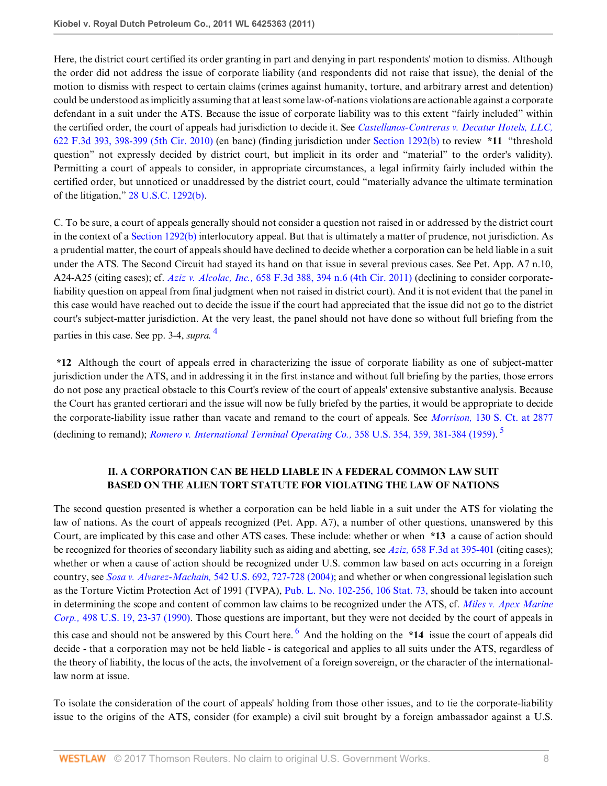Here, the district court certified its order granting in part and denying in part respondents' motion to dismiss. Although the order did not address the issue of corporate liability (and respondents did not raise that issue), the denial of the motion to dismiss with respect to certain claims (crimes against humanity, torture, and arbitrary arrest and detention) could be understood as implicitly assuming that at least some law-of-nations violations are actionable against a corporate defendant in a suit under the ATS. Because the issue of corporate liability was to this extent "fairly included" within the certified order, the court of appeals had jurisdiction to decide it. See *[Castellanos-Contreras v. Decatur Hotels, LLC,](http://www.westlaw.com/Link/Document/FullText?findType=Y&serNum=2023212793&pubNum=506&originatingDoc=I5855366f2d3d11e1bd928e1973ff4e60&refType=RP&fi=co_pp_sp_506_398&originationContext=document&vr=3.0&rs=cblt1.0&transitionType=DocumentItem&contextData=(sc.RelatedInfo)#co_pp_sp_506_398)* [622 F.3d 393, 398-399 \(5th Cir. 2010\)](http://www.westlaw.com/Link/Document/FullText?findType=Y&serNum=2023212793&pubNum=506&originatingDoc=I5855366f2d3d11e1bd928e1973ff4e60&refType=RP&fi=co_pp_sp_506_398&originationContext=document&vr=3.0&rs=cblt1.0&transitionType=DocumentItem&contextData=(sc.RelatedInfo)#co_pp_sp_506_398) (en banc) (finding jurisdiction under [Section 1292\(b\)](http://www.westlaw.com/Link/Document/FullText?findType=L&pubNum=1000546&cite=28USCAS1292&originatingDoc=I5855366f2d3d11e1bd928e1973ff4e60&refType=RB&originationContext=document&vr=3.0&rs=cblt1.0&transitionType=DocumentItem&contextData=(sc.RelatedInfo)#co_pp_a83b000018c76) to review **\*11** "threshold question" not expressly decided by district court, but implicit in its order and "material" to the order's validity). Permitting a court of appeals to consider, in appropriate circumstances, a legal infirmity fairly included within the certified order, but unnoticed or unaddressed by the district court, could "materially advance the ultimate termination of the litigation," [28 U.S.C. 1292\(b\)](http://www.westlaw.com/Link/Document/FullText?findType=L&pubNum=1000546&cite=28USCAS1292&originatingDoc=I5855366f2d3d11e1bd928e1973ff4e60&refType=RB&originationContext=document&vr=3.0&rs=cblt1.0&transitionType=DocumentItem&contextData=(sc.RelatedInfo)#co_pp_a83b000018c76).

C. To be sure, a court of appeals generally should not consider a question not raised in or addressed by the district court in the context of a [Section 1292\(b\)](http://www.westlaw.com/Link/Document/FullText?findType=L&pubNum=1000546&cite=28USCAS1292&originatingDoc=I5855366f2d3d11e1bd928e1973ff4e60&refType=RB&originationContext=document&vr=3.0&rs=cblt1.0&transitionType=DocumentItem&contextData=(sc.RelatedInfo)#co_pp_a83b000018c76) interlocutory appeal. But that is ultimately a matter of prudence, not jurisdiction. As a prudential matter, the court of appeals should have declined to decide whether a corporation can be held liable in a suit under the ATS. The Second Circuit had stayed its hand on that issue in several previous cases. See Pet. App. A7 n.10, A24-A25 (citing cases); cf. *Aziz v. Alcolac, Inc.,* [658 F.3d 388, 394 n.6 \(4th Cir. 2011\)](http://www.westlaw.com/Link/Document/FullText?findType=Y&serNum=2026170055&pubNum=506&originatingDoc=I5855366f2d3d11e1bd928e1973ff4e60&refType=RP&fi=co_pp_sp_506_394&originationContext=document&vr=3.0&rs=cblt1.0&transitionType=DocumentItem&contextData=(sc.RelatedInfo)#co_pp_sp_506_394) (declining to consider corporateliability question on appeal from final judgment when not raised in district court). And it is not evident that the panel in this case would have reached out to decide the issue if the court had appreciated that the issue did not go to the district court's subject-matter jurisdiction. At the very least, the panel should not have done so without full briefing from the parties in this case. See pp. 3-4, *supra.* [4](#page-13-3)

<span id="page-7-0"></span>**\*12** Although the court of appeals erred in characterizing the issue of corporate liability as one of subject-matter jurisdiction under the ATS, and in addressing it in the first instance and without full briefing by the parties, those errors do not pose any practical obstacle to this Court's review of the court of appeals' extensive substantive analysis. Because the Court has granted certiorari and the issue will now be fully briefed by the parties, it would be appropriate to decide the corporate-liability issue rather than vacate and remand to the court of appeals. See *Morrison,* [130 S. Ct. at 2877](http://www.westlaw.com/Link/Document/FullText?findType=Y&serNum=2022366653&pubNum=708&originatingDoc=I5855366f2d3d11e1bd928e1973ff4e60&refType=RP&fi=co_pp_sp_708_2877&originationContext=document&vr=3.0&rs=cblt1.0&transitionType=DocumentItem&contextData=(sc.RelatedInfo)#co_pp_sp_708_2877) (declining to remand); *[Romero v. International Terminal Operating Co.,](http://www.westlaw.com/Link/Document/FullText?findType=Y&serNum=1959103783&pubNum=780&originatingDoc=I5855366f2d3d11e1bd928e1973ff4e60&refType=RP&fi=co_pp_sp_780_359&originationContext=document&vr=3.0&rs=cblt1.0&transitionType=DocumentItem&contextData=(sc.RelatedInfo)#co_pp_sp_780_359)* 358 U.S. 354, 359, 381-384 (1959). [5](#page-13-4)

# <span id="page-7-2"></span><span id="page-7-1"></span>**II. A CORPORATION CAN BE HELD LIABLE IN A FEDERAL COMMON LAW SUIT BASED ON THE ALIEN TORT STATUTE FOR VIOLATING THE LAW OF NATIONS**

The second question presented is whether a corporation can be held liable in a suit under the ATS for violating the law of nations. As the court of appeals recognized (Pet. App. A7), a number of other questions, unanswered by this Court, are implicated by this case and other ATS cases. These include: whether or when **\*13** a cause of action should be recognized for theories of secondary liability such as aiding and abetting, see *Aziz,* [658 F.3d at 395-401](http://www.westlaw.com/Link/Document/FullText?findType=Y&serNum=2026170055&pubNum=506&originatingDoc=I5855366f2d3d11e1bd928e1973ff4e60&refType=RP&fi=co_pp_sp_506_395&originationContext=document&vr=3.0&rs=cblt1.0&transitionType=DocumentItem&contextData=(sc.RelatedInfo)#co_pp_sp_506_395) (citing cases); whether or when a cause of action should be recognized under U.S. common law based on acts occurring in a foreign country, see *Sosa v. Alvarez-Machain,* [542 U.S. 692, 727-728 \(2004\);](http://www.westlaw.com/Link/Document/FullText?findType=Y&serNum=2004637442&pubNum=780&originatingDoc=I5855366f2d3d11e1bd928e1973ff4e60&refType=RP&fi=co_pp_sp_780_727&originationContext=document&vr=3.0&rs=cblt1.0&transitionType=DocumentItem&contextData=(sc.RelatedInfo)#co_pp_sp_780_727) and whether or when congressional legislation such as the Torture Victim Protection Act of 1991 (TVPA), [Pub. L. No. 102-256, 106 Stat. 73,](http://www.westlaw.com/Link/Document/FullText?findType=l&pubNum=1077005&cite=UUID(I20464EE361-0D411C8BBEA-5E36689B0C6)&originatingDoc=I5855366f2d3d11e1bd928e1973ff4e60&refType=SL&originationContext=document&vr=3.0&rs=cblt1.0&transitionType=DocumentItem&contextData=(sc.RelatedInfo)) should be taken into account in determining the scope and content of common law claims to be recognized under the ATS, cf. *[Miles v. Apex Marine](http://www.westlaw.com/Link/Document/FullText?findType=Y&serNum=1990157731&pubNum=780&originatingDoc=I5855366f2d3d11e1bd928e1973ff4e60&refType=RP&fi=co_pp_sp_780_23&originationContext=document&vr=3.0&rs=cblt1.0&transitionType=DocumentItem&contextData=(sc.RelatedInfo)#co_pp_sp_780_23) Corp.,* [498 U.S. 19, 23-37 \(1990\).](http://www.westlaw.com/Link/Document/FullText?findType=Y&serNum=1990157731&pubNum=780&originatingDoc=I5855366f2d3d11e1bd928e1973ff4e60&refType=RP&fi=co_pp_sp_780_23&originationContext=document&vr=3.0&rs=cblt1.0&transitionType=DocumentItem&contextData=(sc.RelatedInfo)#co_pp_sp_780_23) Those questions are important, but they were not decided by the court of appeals in this case and should not be answered by this Court here. <sup>[6](#page-13-5)</sup> And the holding on the **\*14** issue the court of appeals did decide - that a corporation may not be held liable - is categorical and applies to all suits under the ATS, regardless of the theory of liability, the locus of the acts, the involvement of a foreign sovereign, or the character of the internationallaw norm at issue.

To isolate the consideration of the court of appeals' holding from those other issues, and to tie the corporate-liability issue to the origins of the ATS, consider (for example) a civil suit brought by a foreign ambassador against a U.S.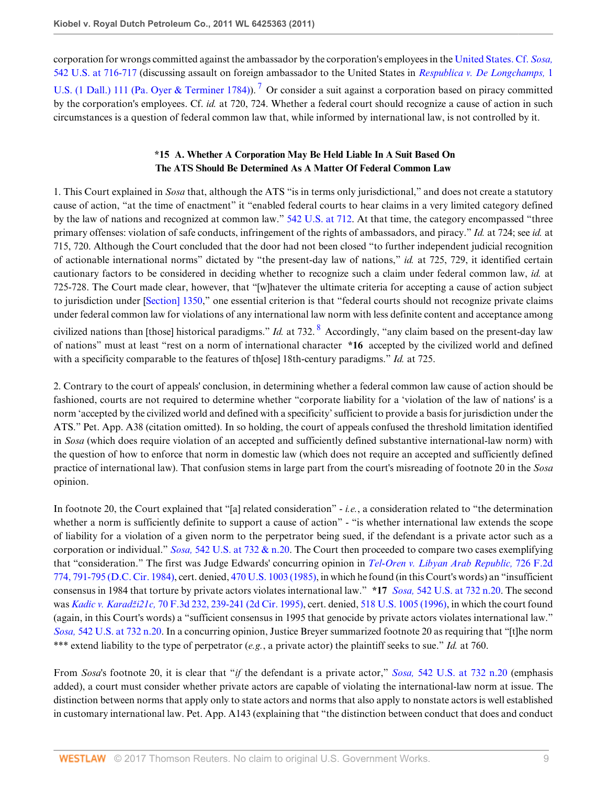corporation for wrongs committed against the ambassador by the corporation's employees in the [United States. Cf.](http://www.westlaw.com/Link/Document/FullText?findType=Y&serNum=2004637442&pubNum=780&originatingDoc=I5855366f2d3d11e1bd928e1973ff4e60&refType=RP&fi=co_pp_sp_780_716&originationContext=document&vr=3.0&rs=cblt1.0&transitionType=DocumentItem&contextData=(sc.RelatedInfo)#co_pp_sp_780_716) *Sosa,* [542 U.S. at 716-717](http://www.westlaw.com/Link/Document/FullText?findType=Y&serNum=2004637442&pubNum=780&originatingDoc=I5855366f2d3d11e1bd928e1973ff4e60&refType=RP&fi=co_pp_sp_780_716&originationContext=document&vr=3.0&rs=cblt1.0&transitionType=DocumentItem&contextData=(sc.RelatedInfo)#co_pp_sp_780_716) (discussing assault on foreign ambassador to the United States in *[Respublica v. De Longchamps,](http://www.westlaw.com/Link/Document/FullText?findType=Y&serNum=1700106112&pubNum=780&originatingDoc=I5855366f2d3d11e1bd928e1973ff4e60&refType=RP&originationContext=document&vr=3.0&rs=cblt1.0&transitionType=DocumentItem&contextData=(sc.RelatedInfo))* 1

[U.S. \(1 Dall.\) 111 \(Pa. Oyer & Terminer 1784\)](http://www.westlaw.com/Link/Document/FullText?findType=Y&serNum=1700106112&pubNum=780&originatingDoc=I5855366f2d3d11e1bd928e1973ff4e60&refType=RP&originationContext=document&vr=3.0&rs=cblt1.0&transitionType=DocumentItem&contextData=(sc.RelatedInfo))).<sup>[7](#page-14-0)</sup> Or consider a suit against a corporation based on piracy committed by the corporation's employees. Cf. *id.* at 720, 724. Whether a federal court should recognize a cause of action in such circumstances is a question of federal common law that, while informed by international law, is not controlled by it.

# <span id="page-8-1"></span><span id="page-8-0"></span>**\*15 A. Whether A Corporation May Be Held Liable In A Suit Based On The ATS Should Be Determined As A Matter Of Federal Common Law**

1. This Court explained in *Sosa* that, although the ATS "is in terms only jurisdictional," and does not create a statutory cause of action, "at the time of enactment" it "enabled federal courts to hear claims in a very limited category defined by the law of nations and recognized at common law." [542 U.S. at 712.](http://www.westlaw.com/Link/Document/FullText?findType=Y&serNum=2004637442&pubNum=780&originatingDoc=I5855366f2d3d11e1bd928e1973ff4e60&refType=RP&fi=co_pp_sp_780_712&originationContext=document&vr=3.0&rs=cblt1.0&transitionType=DocumentItem&contextData=(sc.RelatedInfo)#co_pp_sp_780_712) At that time, the category encompassed "three primary offenses: violation of safe conducts, infringement of the rights of ambassadors, and piracy." *Id.* at 724; see *id.* at 715, 720. Although the Court concluded that the door had not been closed "to further independent judicial recognition of actionable international norms" dictated by "the present-day law of nations," *id.* at 725, 729, it identified certain cautionary factors to be considered in deciding whether to recognize such a claim under federal common law, *id.* at 725-728. The Court made clear, however, that "[w]hatever the ultimate criteria for accepting a cause of action subject to jurisdiction under [\[Section\] 1350](http://www.westlaw.com/Link/Document/FullText?findType=L&pubNum=1000546&cite=28USCAS1350&originatingDoc=I5855366f2d3d11e1bd928e1973ff4e60&refType=LQ&originationContext=document&vr=3.0&rs=cblt1.0&transitionType=DocumentItem&contextData=(sc.RelatedInfo))," one essential criterion is that "federal courts should not recognize private claims under federal common law for violations of any international law norm with less definite content and acceptance among civilized nations than [those] historical paradigms." *Id.* at 732. [8](#page-14-1) Accordingly, "any claim based on the present-day law of nations" must at least "rest on a norm of international character **\*16** accepted by the civilized world and defined with a specificity comparable to the features of th[ose] 18th-century paradigms." *Id.* at 725.

2. Contrary to the court of appeals' conclusion, in determining whether a federal common law cause of action should be fashioned, courts are not required to determine whether "corporate liability for a 'violation of the law of nations' is a norm 'accepted by the civilized world and defined with a specificity' sufficient to provide a basis for jurisdiction under the ATS." Pet. App. A38 (citation omitted). In so holding, the court of appeals confused the threshold limitation identified in *Sosa* (which does require violation of an accepted and sufficiently defined substantive international-law norm) with the question of how to enforce that norm in domestic law (which does not require an accepted and sufficiently defined practice of international law). That confusion stems in large part from the court's misreading of footnote 20 in the *Sosa* opinion.

In footnote 20, the Court explained that "[a] related consideration" - *i.e.*, a consideration related to "the determination whether a norm is sufficiently definite to support a cause of action" - "is whether international law extends the scope of liability for a violation of a given norm to the perpetrator being sued, if the defendant is a private actor such as a corporation or individual." *Sosa,* [542 U.S. at 732 & n.20](http://www.westlaw.com/Link/Document/FullText?findType=Y&serNum=2004637442&pubNum=780&originatingDoc=I5855366f2d3d11e1bd928e1973ff4e60&refType=RP&fi=co_pp_sp_780_732&originationContext=document&vr=3.0&rs=cblt1.0&transitionType=DocumentItem&contextData=(sc.RelatedInfo)#co_pp_sp_780_732). The Court then proceeded to compare two cases exemplifying that "consideration." The first was Judge Edwards' concurring opinion in *[Tel-Oren v. Libyan Arab Republic,](http://www.westlaw.com/Link/Document/FullText?findType=Y&serNum=1984107296&pubNum=350&originatingDoc=I5855366f2d3d11e1bd928e1973ff4e60&refType=RP&fi=co_pp_sp_350_791&originationContext=document&vr=3.0&rs=cblt1.0&transitionType=DocumentItem&contextData=(sc.RelatedInfo)#co_pp_sp_350_791)* 726 F.2d [774, 791-795 \(D.C. Cir. 1984\),](http://www.westlaw.com/Link/Document/FullText?findType=Y&serNum=1984107296&pubNum=350&originatingDoc=I5855366f2d3d11e1bd928e1973ff4e60&refType=RP&fi=co_pp_sp_350_791&originationContext=document&vr=3.0&rs=cblt1.0&transitionType=DocumentItem&contextData=(sc.RelatedInfo)#co_pp_sp_350_791) cert. denied, [470 U.S. 1003 \(1985\)](http://www.westlaw.com/Link/Document/FullText?findType=Y&serNum=1985212591&pubNum=780&originatingDoc=I5855366f2d3d11e1bd928e1973ff4e60&refType=RP&originationContext=document&vr=3.0&rs=cblt1.0&transitionType=DocumentItem&contextData=(sc.RelatedInfo)), in which he found (in this Court's words) an "insufficient consensus in 1984 that torture by private actors violates international law." **\*17** *Sosa,* [542 U.S. at 732 n.20](http://www.westlaw.com/Link/Document/FullText?findType=Y&serNum=2004637442&pubNum=780&originatingDoc=I5855366f2d3d11e1bd928e1973ff4e60&refType=RP&fi=co_pp_sp_780_732&originationContext=document&vr=3.0&rs=cblt1.0&transitionType=DocumentItem&contextData=(sc.RelatedInfo)#co_pp_sp_780_732). The second was *Kadic v. Karadži21c,* [70 F.3d 232, 239-241 \(2d Cir. 1995\),](http://www.westlaw.com/Link/Document/FullText?findType=Y&serNum=1995205872&pubNum=506&originatingDoc=I5855366f2d3d11e1bd928e1973ff4e60&refType=RP&fi=co_pp_sp_506_239&originationContext=document&vr=3.0&rs=cblt1.0&transitionType=DocumentItem&contextData=(sc.RelatedInfo)#co_pp_sp_506_239) cert. denied, [518 U.S. 1005 \(1996\),](http://www.westlaw.com/Link/Document/FullText?findType=Y&serNum=1996088357&pubNum=780&originatingDoc=I5855366f2d3d11e1bd928e1973ff4e60&refType=RP&originationContext=document&vr=3.0&rs=cblt1.0&transitionType=DocumentItem&contextData=(sc.RelatedInfo)) in which the court found (again, in this Court's words) a "sufficient consensus in 1995 that genocide by private actors violates international law." *Sosa,* [542 U.S. at 732 n.20.](http://www.westlaw.com/Link/Document/FullText?findType=Y&serNum=2004637442&pubNum=780&originatingDoc=I5855366f2d3d11e1bd928e1973ff4e60&refType=RP&fi=co_pp_sp_780_732&originationContext=document&vr=3.0&rs=cblt1.0&transitionType=DocumentItem&contextData=(sc.RelatedInfo)#co_pp_sp_780_732) In a concurring opinion, Justice Breyer summarized footnote 20 as requiring that "[t]he norm \*\*\* extend liability to the type of perpetrator (*e.g.*, a private actor) the plaintiff seeks to sue." *Id.* at 760.

From *Sosa*'s footnote 20, it is clear that "*if* the defendant is a private actor," *Sosa,* [542 U.S. at 732 n.20](http://www.westlaw.com/Link/Document/FullText?findType=Y&serNum=2004637442&pubNum=780&originatingDoc=I5855366f2d3d11e1bd928e1973ff4e60&refType=RP&fi=co_pp_sp_780_732&originationContext=document&vr=3.0&rs=cblt1.0&transitionType=DocumentItem&contextData=(sc.RelatedInfo)#co_pp_sp_780_732) (emphasis added), a court must consider whether private actors are capable of violating the international-law norm at issue. The distinction between norms that apply only to state actors and norms that also apply to nonstate actors is well established in customary international law. Pet. App. A143 (explaining that "the distinction between conduct that does and conduct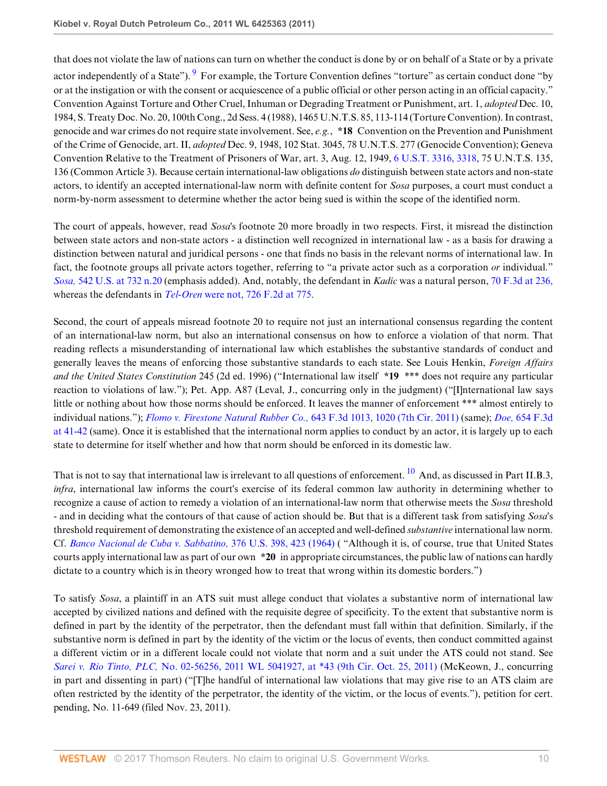<span id="page-9-0"></span>that does not violate the law of nations can turn on whether the conduct is done by or on behalf of a State or by a private actor independently of a State"). <sup>[9](#page-14-2)</sup> For example, the Torture Convention defines "torture" as certain conduct done "by or at the instigation or with the consent or acquiescence of a public official or other person acting in an official capacity." Convention Against Torture and Other Cruel, Inhuman or Degrading Treatment or Punishment, art. 1, *adopted* Dec. 10, 1984, S. Treaty Doc. No. 20, 100th Cong., 2d Sess. 4 (1988), 1465 U.N.T.S. 85, 113-114 (Torture Convention). In contrast, genocide and war crimes do not require state involvement. See, *e.g.*, **\*18** Convention on the Prevention and Punishment of the Crime of Genocide, art. II, *adopted* Dec. 9, 1948, 102 Stat. 3045, 78 U.N.T.S. 277 (Genocide Convention); Geneva Convention Relative to the Treatment of Prisoners of War, art. 3, Aug. 12, 1949, [6 U.S.T. 3316, 3318,](http://www.westlaw.com/Link/Document/FullText?findType=Y&serNum=1956056356&pubNum=0006792&originatingDoc=I5855366f2d3d11e1bd928e1973ff4e60&refType=CA&fi=co_pp_sp_6792_3318&originationContext=document&vr=3.0&rs=cblt1.0&transitionType=DocumentItem&contextData=(sc.RelatedInfo)#co_pp_sp_6792_3318) 75 U.N.T.S. 135, 136 (Common Article 3). Because certain international-law obligations *do* distinguish between state actors and non-state actors, to identify an accepted international-law norm with definite content for *Sosa* purposes, a court must conduct a norm-by-norm assessment to determine whether the actor being sued is within the scope of the identified norm.

The court of appeals, however, read *Sosa*'s footnote 20 more broadly in two respects. First, it misread the distinction between state actors and non-state actors - a distinction well recognized in international law - as a basis for drawing a distinction between natural and juridical persons - one that finds no basis in the relevant norms of international law. In fact, the footnote groups all private actors together, referring to "a private actor such as a corporation *or* individual." *Sosa,* [542 U.S. at 732 n.20](http://www.westlaw.com/Link/Document/FullText?findType=Y&serNum=2004637442&pubNum=780&originatingDoc=I5855366f2d3d11e1bd928e1973ff4e60&refType=RP&fi=co_pp_sp_780_732&originationContext=document&vr=3.0&rs=cblt1.0&transitionType=DocumentItem&contextData=(sc.RelatedInfo)#co_pp_sp_780_732) (emphasis added). And, notably, the defendant in *Kadic* was a natural person, [70 F.3d at 236,](http://www.westlaw.com/Link/Document/FullText?findType=Y&serNum=1995205872&pubNum=506&originatingDoc=I5855366f2d3d11e1bd928e1973ff4e60&refType=RP&fi=co_pp_sp_506_236&originationContext=document&vr=3.0&rs=cblt1.0&transitionType=DocumentItem&contextData=(sc.RelatedInfo)#co_pp_sp_506_236) whereas the defendants in *Tel-Oren* [were not, 726 F.2d at 775](http://www.westlaw.com/Link/Document/FullText?findType=Y&serNum=1984107296&pubNum=350&originatingDoc=I5855366f2d3d11e1bd928e1973ff4e60&refType=RP&fi=co_pp_sp_350_775&originationContext=document&vr=3.0&rs=cblt1.0&transitionType=DocumentItem&contextData=(sc.RelatedInfo)#co_pp_sp_350_775).

Second, the court of appeals misread footnote 20 to require not just an international consensus regarding the content of an international-law norm, but also an international consensus on how to enforce a violation of that norm. That reading reflects a misunderstanding of international law which establishes the substantive standards of conduct and generally leaves the means of enforcing those substantive standards to each state. See Louis Henkin, *Foreign Affairs and the United States Constitution* 245 (2d ed. 1996) ("International law itself **\*19** \*\*\* does not require any particular reaction to violations of law."); Pet. App. A87 (Leval, J., concurring only in the judgment) ("[I]nternational law says little or nothing about how those norms should be enforced. It leaves the manner of enforcement \*\*\* almost entirely to individual nations."); *[Flomo v. Firestone Natural Rubber Co.,](http://www.westlaw.com/Link/Document/FullText?findType=Y&serNum=2025641202&pubNum=506&originatingDoc=I5855366f2d3d11e1bd928e1973ff4e60&refType=RP&fi=co_pp_sp_506_1020&originationContext=document&vr=3.0&rs=cblt1.0&transitionType=DocumentItem&contextData=(sc.RelatedInfo)#co_pp_sp_506_1020)* 643 F.3d 1013, 1020 (7th Cir. 2011) (same); *Doe,* [654 F.3d](http://www.westlaw.com/Link/Document/FullText?findType=Y&serNum=2025629981&pubNum=506&originatingDoc=I5855366f2d3d11e1bd928e1973ff4e60&refType=RP&fi=co_pp_sp_506_41&originationContext=document&vr=3.0&rs=cblt1.0&transitionType=DocumentItem&contextData=(sc.RelatedInfo)#co_pp_sp_506_41) [at 41-42](http://www.westlaw.com/Link/Document/FullText?findType=Y&serNum=2025629981&pubNum=506&originatingDoc=I5855366f2d3d11e1bd928e1973ff4e60&refType=RP&fi=co_pp_sp_506_41&originationContext=document&vr=3.0&rs=cblt1.0&transitionType=DocumentItem&contextData=(sc.RelatedInfo)#co_pp_sp_506_41) (same). Once it is established that the international norm applies to conduct by an actor, it is largely up to each state to determine for itself whether and how that norm should be enforced in its domestic law.

<span id="page-9-1"></span>That is not to say that international law is irrelevant to all questions of enforcement. <sup>[10](#page-14-3)</sup> And, as discussed in Part II.B.3, *infra*, international law informs the court's exercise of its federal common law authority in determining whether to recognize a cause of action to remedy a violation of an international-law norm that otherwise meets the *Sosa* threshold - and in deciding what the contours of that cause of action should be. But that is a different task from satisfying *Sosa*'s threshold requirement of demonstrating the existence of an accepted and well-defined *substantive* international law norm. Cf. *[Banco Nacional de Cuba v. Sabbatino,](http://www.westlaw.com/Link/Document/FullText?findType=Y&serNum=1964100336&pubNum=780&originatingDoc=I5855366f2d3d11e1bd928e1973ff4e60&refType=RP&fi=co_pp_sp_780_423&originationContext=document&vr=3.0&rs=cblt1.0&transitionType=DocumentItem&contextData=(sc.RelatedInfo)#co_pp_sp_780_423)* 376 U.S. 398, 423 (1964) ( "Although it is, of course, true that United States courts apply international law as part of our own **\*20** in appropriate circumstances, the public law of nations can hardly dictate to a country which is in theory wronged how to treat that wrong within its domestic borders.")

To satisfy *Sosa*, a plaintiff in an ATS suit must allege conduct that violates a substantive norm of international law accepted by civilized nations and defined with the requisite degree of specificity. To the extent that substantive norm is defined in part by the identity of the perpetrator, then the defendant must fall within that definition. Similarly, if the substantive norm is defined in part by the identity of the victim or the locus of events, then conduct committed against a different victim or in a different locale could not violate that norm and a suit under the ATS could not stand. See *Sarei v. Rio Tinto, PLC,* [No. 02-56256, 2011 WL 5041927, at \\*43 \(9th Cir. Oct. 25, 2011\)](http://www.westlaw.com/Link/Document/FullText?findType=Y&serNum=2026387313&pubNum=0000999&originatingDoc=I5855366f2d3d11e1bd928e1973ff4e60&refType=RP&originationContext=document&vr=3.0&rs=cblt1.0&transitionType=DocumentItem&contextData=(sc.RelatedInfo)) (McKeown, J., concurring in part and dissenting in part) ("[T]he handful of international law violations that may give rise to an ATS claim are often restricted by the identity of the perpetrator, the identity of the victim, or the locus of events."), petition for cert. pending, No. 11-649 (filed Nov. 23, 2011).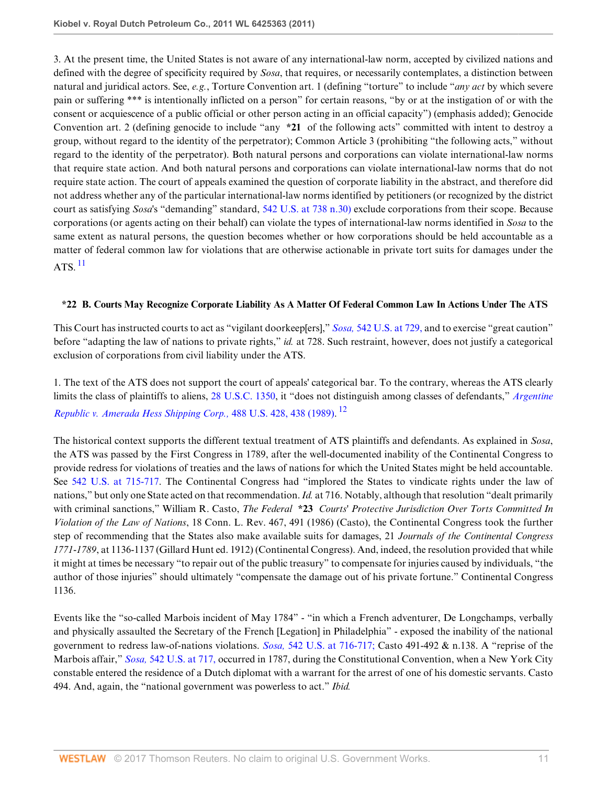3. At the present time, the United States is not aware of any international-law norm, accepted by civilized nations and defined with the degree of specificity required by *Sosa*, that requires, or necessarily contemplates, a distinction between natural and juridical actors. See, *e.g.*, Torture Convention art. 1 (defining "torture" to include "*any act* by which severe pain or suffering \*\*\* is intentionally inflicted on a person" for certain reasons, "by or at the instigation of or with the consent or acquiescence of a public official or other person acting in an official capacity") (emphasis added); Genocide Convention art. 2 (defining genocide to include "any **\*21** of the following acts" committed with intent to destroy a group, without regard to the identity of the perpetrator); Common Article 3 (prohibiting "the following acts," without regard to the identity of the perpetrator). Both natural persons and corporations can violate international-law norms that require state action. And both natural persons and corporations can violate international-law norms that do not require state action. The court of appeals examined the question of corporate liability in the abstract, and therefore did not address whether any of the particular international-law norms identified by petitioners (or recognized by the district court as satisfying *Sosa*'s "demanding" standard, [542 U.S. at 738 n.30\)](http://www.westlaw.com/Link/Document/FullText?findType=Y&serNum=2004637442&pubNum=780&originatingDoc=I5855366f2d3d11e1bd928e1973ff4e60&refType=RP&fi=co_pp_sp_780_738&originationContext=document&vr=3.0&rs=cblt1.0&transitionType=DocumentItem&contextData=(sc.RelatedInfo)#co_pp_sp_780_738) exclude corporations from their scope. Because corporations (or agents acting on their behalf) can violate the types of international-law norms identified in *Sosa* to the same extent as natural persons, the question becomes whether or how corporations should be held accountable as a matter of federal common law for violations that are otherwise actionable in private tort suits for damages under the  $ATS.$ <sup>[11](#page-14-4)</sup>

## <span id="page-10-0"></span>**\*22 B. Courts May Recognize Corporate Liability As A Matter Of Federal Common Law In Actions Under The ATS**

This Court has instructed courts to act as "vigilant doorkeep[ers]," *Sosa,* [542 U.S. at 729,](http://www.westlaw.com/Link/Document/FullText?findType=Y&serNum=2004637442&pubNum=780&originatingDoc=I5855366f2d3d11e1bd928e1973ff4e60&refType=RP&fi=co_pp_sp_780_729&originationContext=document&vr=3.0&rs=cblt1.0&transitionType=DocumentItem&contextData=(sc.RelatedInfo)#co_pp_sp_780_729) and to exercise "great caution" before "adapting the law of nations to private rights," *id.* at 728. Such restraint, however, does not justify a categorical exclusion of corporations from civil liability under the ATS.

<span id="page-10-1"></span>1. The text of the ATS does not support the court of appeals' categorical bar. To the contrary, whereas the ATS clearly limits the class of plaintiffs to aliens, [28 U.S.C. 1350,](http://www.westlaw.com/Link/Document/FullText?findType=L&pubNum=1000546&cite=28USCAS1350&originatingDoc=I5855366f2d3d11e1bd928e1973ff4e60&refType=LQ&originationContext=document&vr=3.0&rs=cblt1.0&transitionType=DocumentItem&contextData=(sc.RelatedInfo)) it "does not distinguish among classes of defendants," *[Argentine](http://www.westlaw.com/Link/Document/FullText?findType=Y&serNum=1989012994&pubNum=780&originatingDoc=I5855366f2d3d11e1bd928e1973ff4e60&refType=RP&fi=co_pp_sp_780_438&originationContext=document&vr=3.0&rs=cblt1.0&transitionType=DocumentItem&contextData=(sc.RelatedInfo)#co_pp_sp_780_438) [Republic v. Amerada Hess Shipping Corp.,](http://www.westlaw.com/Link/Document/FullText?findType=Y&serNum=1989012994&pubNum=780&originatingDoc=I5855366f2d3d11e1bd928e1973ff4e60&refType=RP&fi=co_pp_sp_780_438&originationContext=document&vr=3.0&rs=cblt1.0&transitionType=DocumentItem&contextData=(sc.RelatedInfo)#co_pp_sp_780_438)* 488 U.S. 428, 438 (1989). [12](#page-14-5)

The historical context supports the different textual treatment of ATS plaintiffs and defendants. As explained in *Sosa*, the ATS was passed by the First Congress in 1789, after the well-documented inability of the Continental Congress to provide redress for violations of treaties and the laws of nations for which the United States might be held accountable. See [542 U.S. at 715-717](http://www.westlaw.com/Link/Document/FullText?findType=Y&serNum=2004637442&pubNum=780&originatingDoc=I5855366f2d3d11e1bd928e1973ff4e60&refType=RP&fi=co_pp_sp_780_715&originationContext=document&vr=3.0&rs=cblt1.0&transitionType=DocumentItem&contextData=(sc.RelatedInfo)#co_pp_sp_780_715). The Continental Congress had "implored the States to vindicate rights under the law of nations," but only one State acted on that recommendation. *Id.* at 716. Notably, although that resolution "dealt primarily with criminal sanctions," William R. Casto, *The Federal* **\*23** *Courts' Protective Jurisdiction Over Torts Committed In Violation of the Law of Nations*, 18 Conn. L. Rev. 467, 491 (1986) (Casto), the Continental Congress took the further step of recommending that the States also make available suits for damages, 21 *Journals of the Continental Congress 1771-1789*, at 1136-1137 (Gillard Hunt ed. 1912) (Continental Congress). And, indeed, the resolution provided that while it might at times be necessary "to repair out of the public treasury" to compensate for injuries caused by individuals, "the author of those injuries" should ultimately "compensate the damage out of his private fortune." Continental Congress 1136.

Events like the "so-called Marbois incident of May 1784" - "in which a French adventurer, De Longchamps, verbally and physically assaulted the Secretary of the French [Legation] in Philadelphia" - exposed the inability of the national government to redress law-of-nations violations. *Sosa,* [542 U.S. at 716-717;](http://www.westlaw.com/Link/Document/FullText?findType=Y&serNum=2004637442&pubNum=780&originatingDoc=I5855366f2d3d11e1bd928e1973ff4e60&refType=RP&fi=co_pp_sp_780_716&originationContext=document&vr=3.0&rs=cblt1.0&transitionType=DocumentItem&contextData=(sc.RelatedInfo)#co_pp_sp_780_716) Casto 491-492 & n.138. A "reprise of the Marbois affair," *Sosa,* [542 U.S. at 717,](http://www.westlaw.com/Link/Document/FullText?findType=Y&serNum=2004637442&pubNum=780&originatingDoc=I5855366f2d3d11e1bd928e1973ff4e60&refType=RP&fi=co_pp_sp_780_717&originationContext=document&vr=3.0&rs=cblt1.0&transitionType=DocumentItem&contextData=(sc.RelatedInfo)#co_pp_sp_780_717) occurred in 1787, during the Constitutional Convention, when a New York City constable entered the residence of a Dutch diplomat with a warrant for the arrest of one of his domestic servants. Casto 494. And, again, the "national government was powerless to act." *Ibid.*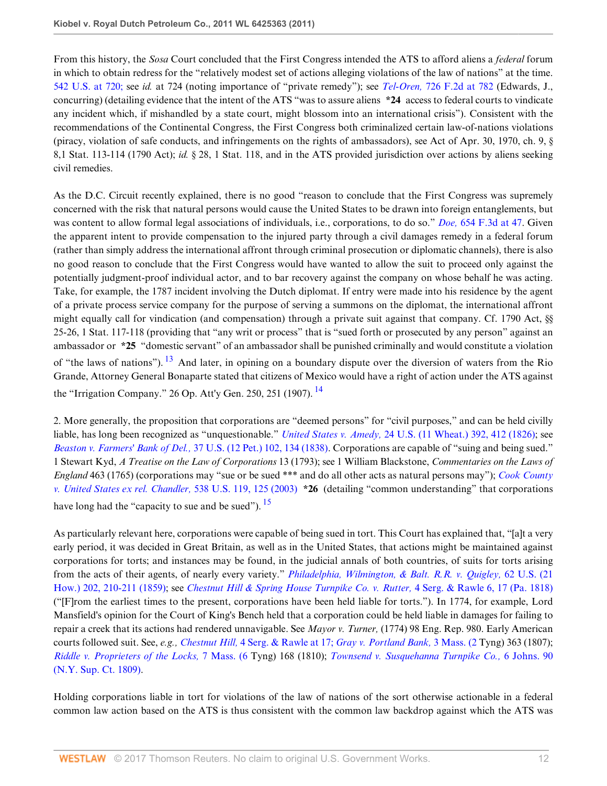From this history, the *Sosa* Court concluded that the First Congress intended the ATS to afford aliens a *federal* forum in which to obtain redress for the "relatively modest set of actions alleging violations of the law of nations" at the time. [542 U.S. at 720;](http://www.westlaw.com/Link/Document/FullText?findType=Y&serNum=2004637442&pubNum=780&originatingDoc=I5855366f2d3d11e1bd928e1973ff4e60&refType=RP&fi=co_pp_sp_780_720&originationContext=document&vr=3.0&rs=cblt1.0&transitionType=DocumentItem&contextData=(sc.RelatedInfo)#co_pp_sp_780_720) see *id.* at 724 (noting importance of "private remedy"); see *Tel-Oren,* [726 F.2d at 782](http://www.westlaw.com/Link/Document/FullText?findType=Y&serNum=1984107296&pubNum=350&originatingDoc=I5855366f2d3d11e1bd928e1973ff4e60&refType=RP&fi=co_pp_sp_350_782&originationContext=document&vr=3.0&rs=cblt1.0&transitionType=DocumentItem&contextData=(sc.RelatedInfo)#co_pp_sp_350_782) (Edwards, J., concurring) (detailing evidence that the intent of the ATS "was to assure aliens **\*24** access to federal courts to vindicate any incident which, if mishandled by a state court, might blossom into an international crisis"). Consistent with the recommendations of the Continental Congress, the First Congress both criminalized certain law-of-nations violations (piracy, violation of safe conducts, and infringements on the rights of ambassadors), see Act of Apr. 30, 1970, ch. 9, § 8,1 Stat. 113-114 (1790 Act); *id.* § 28, 1 Stat. 118, and in the ATS provided jurisdiction over actions by aliens seeking civil remedies.

As the D.C. Circuit recently explained, there is no good "reason to conclude that the First Congress was supremely concerned with the risk that natural persons would cause the United States to be drawn into foreign entanglements, but was content to allow formal legal associations of individuals, i.e., corporations, to do so." *Doe,* [654 F.3d at 47.](http://www.westlaw.com/Link/Document/FullText?findType=Y&serNum=2025629981&pubNum=506&originatingDoc=I5855366f2d3d11e1bd928e1973ff4e60&refType=RP&fi=co_pp_sp_506_47&originationContext=document&vr=3.0&rs=cblt1.0&transitionType=DocumentItem&contextData=(sc.RelatedInfo)#co_pp_sp_506_47) Given the apparent intent to provide compensation to the injured party through a civil damages remedy in a federal forum (rather than simply address the international affront through criminal prosecution or diplomatic channels), there is also no good reason to conclude that the First Congress would have wanted to allow the suit to proceed only against the potentially judgment-proof individual actor, and to bar recovery against the company on whose behalf he was acting. Take, for example, the 1787 incident involving the Dutch diplomat. If entry were made into his residence by the agent of a private process service company for the purpose of serving a summons on the diplomat, the international affront might equally call for vindication (and compensation) through a private suit against that company. Cf. 1790 Act, §§ 25-26, 1 Stat. 117-118 (providing that "any writ or process" that is "sued forth or prosecuted by any person" against an ambassador or **\*25** "domestic servant" of an ambassador shall be punished criminally and would constitute a violation of "the laws of nations").  $^{13}$  $^{13}$  $^{13}$  And later, in opining on a boundary dispute over the diversion of waters from the Rio Grande, Attorney General Bonaparte stated that citizens of Mexico would have a right of action under the ATS against the "Irrigation Company." 26 Op. Att'y Gen. 250, 251 (1907). <sup>[14](#page-14-7)</sup>

<span id="page-11-1"></span><span id="page-11-0"></span>2. More generally, the proposition that corporations are "deemed persons" for "civil purposes," and can be held civilly liable, has long been recognized as "unquestionable." *United States v. Amedy,* [24 U.S. \(11 Wheat.\) 392, 412 \(1826\);](http://www.westlaw.com/Link/Document/FullText?findType=Y&serNum=1800134016&pubNum=780&originatingDoc=I5855366f2d3d11e1bd928e1973ff4e60&refType=RP&fi=co_pp_sp_780_412&originationContext=document&vr=3.0&rs=cblt1.0&transitionType=DocumentItem&contextData=(sc.RelatedInfo)#co_pp_sp_780_412) see *[Beaston v. Farmers' Bank of Del.,](http://www.westlaw.com/Link/Document/FullText?findType=Y&serNum=1838121979&pubNum=780&originatingDoc=I5855366f2d3d11e1bd928e1973ff4e60&refType=RP&fi=co_pp_sp_780_134&originationContext=document&vr=3.0&rs=cblt1.0&transitionType=DocumentItem&contextData=(sc.RelatedInfo)#co_pp_sp_780_134)* 37 U.S. (12 Pet.) 102, 134 (1838). Corporations are capable of "suing and being sued." 1 Stewart Kyd, *A Treatise on the Law of Corporations* 13 (1793); see 1 William Blackstone, *Commentaries on the Laws of England* 463 (1765) (corporations may "sue or be sued \*\*\* and do all other acts as natural persons may"); *[Cook County](http://www.westlaw.com/Link/Document/FullText?findType=Y&serNum=2003205374&pubNum=780&originatingDoc=I5855366f2d3d11e1bd928e1973ff4e60&refType=RP&fi=co_pp_sp_780_125&originationContext=document&vr=3.0&rs=cblt1.0&transitionType=DocumentItem&contextData=(sc.RelatedInfo)#co_pp_sp_780_125) [v. United States ex rel. Chandler,](http://www.westlaw.com/Link/Document/FullText?findType=Y&serNum=2003205374&pubNum=780&originatingDoc=I5855366f2d3d11e1bd928e1973ff4e60&refType=RP&fi=co_pp_sp_780_125&originationContext=document&vr=3.0&rs=cblt1.0&transitionType=DocumentItem&contextData=(sc.RelatedInfo)#co_pp_sp_780_125)* 538 U.S. 119, 125 (2003) **\*26** (detailing "common understanding" that corporations have long had the "capacity to sue and be sued"). <sup>[15](#page-14-8)</sup>

<span id="page-11-2"></span>As particularly relevant here, corporations were capable of being sued in tort. This Court has explained that, "[a]t a very early period, it was decided in Great Britain, as well as in the United States, that actions might be maintained against corporations for torts; and instances may be found, in the judicial annals of both countries, of suits for torts arising from the acts of their agents, of nearly every variety." *[Philadelphia, Wilmington, & Balt. R.R. v. Quigley,](http://www.westlaw.com/Link/Document/FullText?findType=Y&serNum=1858195853&pubNum=780&originatingDoc=I5855366f2d3d11e1bd928e1973ff4e60&refType=RP&fi=co_pp_sp_780_210&originationContext=document&vr=3.0&rs=cblt1.0&transitionType=DocumentItem&contextData=(sc.RelatedInfo)#co_pp_sp_780_210)* 62 U.S. (21 [How.\) 202, 210-211 \(1859\)](http://www.westlaw.com/Link/Document/FullText?findType=Y&serNum=1858195853&pubNum=780&originatingDoc=I5855366f2d3d11e1bd928e1973ff4e60&refType=RP&fi=co_pp_sp_780_210&originationContext=document&vr=3.0&rs=cblt1.0&transitionType=DocumentItem&contextData=(sc.RelatedInfo)#co_pp_sp_780_210); see *[Chestnut Hill & Spring House Turnpike Co. v. Rutter,](http://www.westlaw.com/Link/Document/FullText?findType=Y&serNum=1818028119&pubNum=2704&originatingDoc=I5855366f2d3d11e1bd928e1973ff4e60&refType=RP&fi=co_pp_sp_2704_17&originationContext=document&vr=3.0&rs=cblt1.0&transitionType=DocumentItem&contextData=(sc.RelatedInfo)#co_pp_sp_2704_17)* 4 Serg. & Rawle 6, 17 (Pa. 1818) ("[F]rom the earliest times to the present, corporations have been held liable for torts."). In 1774, for example, Lord Mansfield's opinion for the Court of King's Bench held that a corporation could be held liable in damages for failing to repair a creek that its actions had rendered unnavigable. See *Mayor v. Turner,* (1774) 98 Eng. Rep. 980. Early American courts followed suit. See, *e.g., Chestnut Hill,* [4 Serg. & Rawle at 17;](http://www.westlaw.com/Link/Document/FullText?findType=Y&serNum=1818028119&pubNum=2704&originatingDoc=I5855366f2d3d11e1bd928e1973ff4e60&refType=RP&fi=co_pp_sp_2704_17&originationContext=document&vr=3.0&rs=cblt1.0&transitionType=DocumentItem&contextData=(sc.RelatedInfo)#co_pp_sp_2704_17) *[Gray v. Portland Bank,](http://www.westlaw.com/Link/Document/FullText?findType=Y&pubNum=521&cite=3MA2&originatingDoc=I5855366f2d3d11e1bd928e1973ff4e60&refType=RP&originationContext=document&vr=3.0&rs=cblt1.0&transitionType=DocumentItem&contextData=(sc.RelatedInfo))* 3 Mass. (2 Tyng) 363 (1807); *[Riddle v. Proprieters of the Locks,](http://www.westlaw.com/Link/Document/FullText?findType=Y&serNum=1810027255&pubNum=521&originatingDoc=I5855366f2d3d11e1bd928e1973ff4e60&refType=RP&originationContext=document&vr=3.0&rs=cblt1.0&transitionType=DocumentItem&contextData=(sc.RelatedInfo))* 7 Mass. (6 Tyng) 168 (1810); *[Townsend v. Susquehanna Turnpike Co.,](http://www.westlaw.com/Link/Document/FullText?findType=Y&serNum=1810027387&pubNum=2451&originatingDoc=I5855366f2d3d11e1bd928e1973ff4e60&refType=RP&originationContext=document&vr=3.0&rs=cblt1.0&transitionType=DocumentItem&contextData=(sc.RelatedInfo))* 6 Johns. 90 [\(N.Y. Sup. Ct. 1809\)](http://www.westlaw.com/Link/Document/FullText?findType=Y&serNum=1810027387&pubNum=2451&originatingDoc=I5855366f2d3d11e1bd928e1973ff4e60&refType=RP&originationContext=document&vr=3.0&rs=cblt1.0&transitionType=DocumentItem&contextData=(sc.RelatedInfo)).

Holding corporations liable in tort for violations of the law of nations of the sort otherwise actionable in a federal common law action based on the ATS is thus consistent with the common law backdrop against which the ATS was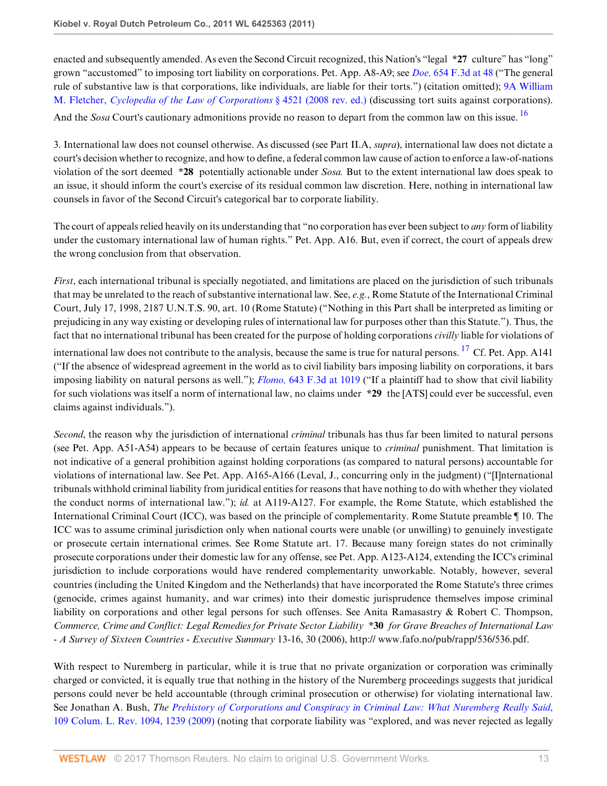enacted and subsequently amended. As even the Second Circuit recognized, this Nation's "legal **\*27** culture" has "long" grown "accustomed" to imposing tort liability on corporations. Pet. App. A8-A9; see *Doe,* [654 F.3d at 48](http://www.westlaw.com/Link/Document/FullText?findType=Y&serNum=2025629981&pubNum=506&originatingDoc=I5855366f2d3d11e1bd928e1973ff4e60&refType=RP&fi=co_pp_sp_506_48&originationContext=document&vr=3.0&rs=cblt1.0&transitionType=DocumentItem&contextData=(sc.RelatedInfo)#co_pp_sp_506_48) ("The general rule of substantive law is that corporations, like individuals, are liable for their torts.") (citation omitted); [9A William](http://www.westlaw.com/Link/Document/FullText?findType=Y&serNum=0295760835&pubNum=0122624&originatingDoc=I5855366f2d3d11e1bd928e1973ff4e60&refType=TS&originationContext=document&vr=3.0&rs=cblt1.0&transitionType=DocumentItem&contextData=(sc.RelatedInfo)) M. Fletcher, *[Cyclopedia of the Law of Corporations](http://www.westlaw.com/Link/Document/FullText?findType=Y&serNum=0295760835&pubNum=0122624&originatingDoc=I5855366f2d3d11e1bd928e1973ff4e60&refType=TS&originationContext=document&vr=3.0&rs=cblt1.0&transitionType=DocumentItem&contextData=(sc.RelatedInfo))* § 4521 (2008 rev. ed.) (discussing tort suits against corporations).

<span id="page-12-0"></span>And the *Sosa* Court's cautionary admonitions provide no reason to depart from the common law on this issue.<sup>[16](#page-14-9)</sup>

3. International law does not counsel otherwise. As discussed (see Part II.A, *supra*), international law does not dictate a court's decision whether to recognize, and how to define, a federal common law cause of action to enforce a law-of-nations violation of the sort deemed **\*28** potentially actionable under *Sosa.* But to the extent international law does speak to an issue, it should inform the court's exercise of its residual common law discretion. Here, nothing in international law counsels in favor of the Second Circuit's categorical bar to corporate liability.

The court of appeals relied heavily on its understanding that "no corporation has ever been subject to *any* form of liability under the customary international law of human rights." Pet. App. A16. But, even if correct, the court of appeals drew the wrong conclusion from that observation.

<span id="page-12-1"></span>*First*, each international tribunal is specially negotiated, and limitations are placed on the jurisdiction of such tribunals that may be unrelated to the reach of substantive international law. See, *e.g.*, Rome Statute of the International Criminal Court, July 17, 1998, 2187 U.N.T.S. 90, art. 10 (Rome Statute) ("Nothing in this Part shall be interpreted as limiting or prejudicing in any way existing or developing rules of international law for purposes other than this Statute."). Thus, the fact that no international tribunal has been created for the purpose of holding corporations *civilly* liable for violations of international law does not contribute to the analysis, because the same is true for natural persons. <sup>[17](#page-14-10)</sup> Cf. Pet. App. A141 ("If the absence of widespread agreement in the world as to civil liability bars imposing liability on corporations, it bars imposing liability on natural persons as well."); *Flomo,* [643 F.3d at 1019](http://www.westlaw.com/Link/Document/FullText?findType=Y&serNum=2025641202&pubNum=506&originatingDoc=I5855366f2d3d11e1bd928e1973ff4e60&refType=RP&fi=co_pp_sp_506_1019&originationContext=document&vr=3.0&rs=cblt1.0&transitionType=DocumentItem&contextData=(sc.RelatedInfo)#co_pp_sp_506_1019) ("If a plaintiff had to show that civil liability for such violations was itself a norm of international law, no claims under **\*29** the [ATS] could ever be successful, even claims against individuals.").

*Second*, the reason why the jurisdiction of international *criminal* tribunals has thus far been limited to natural persons (see Pet. App. A51-A54) appears to be because of certain features unique to *criminal* punishment. That limitation is not indicative of a general prohibition against holding corporations (as compared to natural persons) accountable for violations of international law. See Pet. App. A165-A166 (Leval, J., concurring only in the judgment) ("[I]nternational tribunals withhold criminal liability from juridical entities for reasons that have nothing to do with whether they violated the conduct norms of international law."); *id.* at A119-A127. For example, the Rome Statute, which established the International Criminal Court (ICC), was based on the principle of complementarity. Rome Statute preamble ¶ 10. The ICC was to assume criminal jurisdiction only when national courts were unable (or unwilling) to genuinely investigate or prosecute certain international crimes. See Rome Statute art. 17. Because many foreign states do not criminally prosecute corporations under their domestic law for any offense, see Pet. App. A123-A124, extending the ICC's criminal jurisdiction to include corporations would have rendered complementarity unworkable. Notably, however, several countries (including the United Kingdom and the Netherlands) that have incorporated the Rome Statute's three crimes (genocide, crimes against humanity, and war crimes) into their domestic jurisprudence themselves impose criminal liability on corporations and other legal persons for such offenses. See Anita Ramasastry & Robert C. Thompson, *Commerce, Crime and Conflict: Legal Remedies for Private Sector Liability* **\*30** *for Grave Breaches of International Law - A Survey of Sixteen Countries* - *Executive Summary* 13-16, 30 (2006), http:// www.fafo.no/pub/rapp/536/536.pdf.

With respect to Nuremberg in particular, while it is true that no private organization or corporation was criminally charged or convicted, it is equally true that nothing in the history of the Nuremberg proceedings suggests that juridical persons could never be held accountable (through criminal prosecution or otherwise) for violating international law. See Jonathan A. Bush, *The [Prehistory of Corporations and Conspiracy in Criminal Law: What Nuremberg Really Said](http://www.westlaw.com/Link/Document/FullText?findType=Y&serNum=0344766645&pubNum=3050&originatingDoc=I5855366f2d3d11e1bd928e1973ff4e60&refType=LR&originationContext=document&vr=3.0&rs=cblt1.0&transitionType=DocumentItem&contextData=(sc.RelatedInfo))*, [109 Colum. L. Rev. 1094, 1239 \(2009\)](http://www.westlaw.com/Link/Document/FullText?findType=Y&serNum=0344766645&pubNum=3050&originatingDoc=I5855366f2d3d11e1bd928e1973ff4e60&refType=LR&originationContext=document&vr=3.0&rs=cblt1.0&transitionType=DocumentItem&contextData=(sc.RelatedInfo)) (noting that corporate liability was "explored, and was never rejected as legally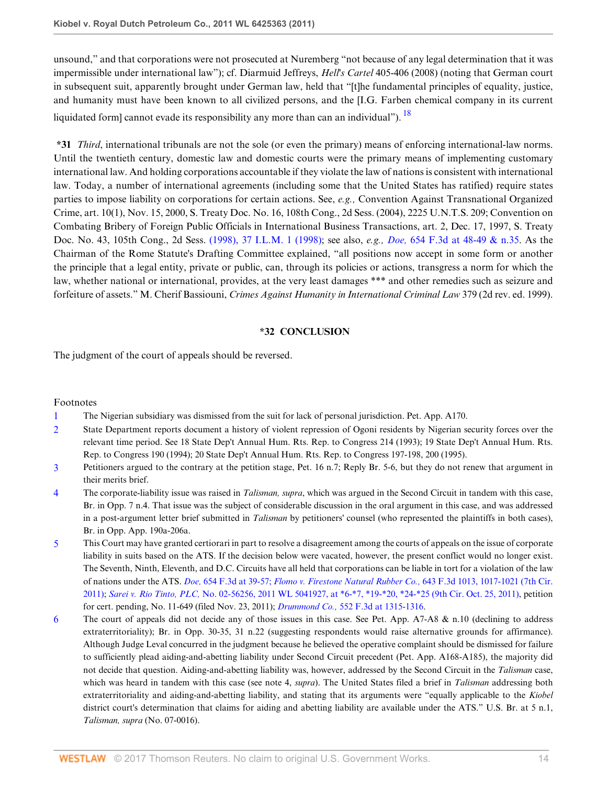unsound," and that corporations were not prosecuted at Nuremberg "not because of any legal determination that it was impermissible under international law"); cf. Diarmuid Jeffreys, *Hell's Cartel* 405-406 (2008) (noting that German court in subsequent suit, apparently brought under German law, held that "[t]he fundamental principles of equality, justice, and humanity must have been known to all civilized persons, and the [I.G. Farben chemical company in its current liquidated form] cannot evade its responsibility any more than can an individual").  $^{18}$  $^{18}$  $^{18}$ 

**\*31** *Third*, international tribunals are not the sole (or even the primary) means of enforcing international-law norms. Until the twentieth century, domestic law and domestic courts were the primary means of implementing customary international law. And holding corporations accountable if they violate the law of nations is consistent with international law. Today, a number of international agreements (including some that the United States has ratified) require states parties to impose liability on corporations for certain actions. See, *e.g.,* Convention Against Transnational Organized Crime, art. 10(1), Nov. 15, 2000, S. Treaty Doc. No. 16, 108th Cong., 2d Sess. (2004), 2225 U.N.T.S. 209; Convention on Combating Bribery of Foreign Public Officials in International Business Transactions, art. 2, Dec. 17, 1997, S. Treaty Doc. No. 43, 105th Cong., 2d Sess. [\(1998\), 37 I.L.M. 1 \(1998\);](http://www.westlaw.com/Link/Document/FullText?findType=Y&pubNum=100856&cite=37INTLLEGALMAT1&originatingDoc=I5855366f2d3d11e1bd928e1973ff4e60&refType=NA&originationContext=document&vr=3.0&rs=cblt1.0&transitionType=DocumentItem&contextData=(sc.RelatedInfo)) see also, *e.g., Doe,* [654 F.3d at 48-49 & n.35.](http://www.westlaw.com/Link/Document/FullText?findType=Y&serNum=2025629981&pubNum=506&originatingDoc=I5855366f2d3d11e1bd928e1973ff4e60&refType=RP&fi=co_pp_sp_506_48&originationContext=document&vr=3.0&rs=cblt1.0&transitionType=DocumentItem&contextData=(sc.RelatedInfo)#co_pp_sp_506_48) As the Chairman of the Rome Statute's Drafting Committee explained, "all positions now accept in some form or another the principle that a legal entity, private or public, can, through its policies or actions, transgress a norm for which the law, whether national or international, provides, at the very least damages \*\*\* and other remedies such as seizure and forfeiture of assets." M. Cherif Bassiouni, *Crimes Against Humanity in International Criminal Law* 379 (2d rev. ed. 1999).

## <span id="page-13-6"></span>**\*32 CONCLUSION**

The judgment of the court of appeals should be reversed.

## Footnotes

- <span id="page-13-0"></span>[1](#page-3-0) The Nigerian subsidiary was dismissed from the suit for lack of personal jurisdiction. Pet. App. A170.
- <span id="page-13-1"></span>[2](#page-3-1) State Department reports document a history of violent repression of Ogoni residents by Nigerian security forces over the relevant time period. See 18 State Dep't Annual Hum. Rts. Rep. to Congress 214 (1993); 19 State Dep't Annual Hum. Rts. Rep. to Congress 190 (1994); 20 State Dep't Annual Hum. Rts. Rep. to Congress 197-198, 200 (1995).
- <span id="page-13-2"></span>[3](#page-6-0) Petitioners argued to the contrary at the petition stage, Pet. 16 n.7; Reply Br. 5-6, but they do not renew that argument in their merits brief.
- <span id="page-13-3"></span>[4](#page-7-0) The corporate-liability issue was raised in *Talisman, supra*, which was argued in the Second Circuit in tandem with this case, Br. in Opp. 7 n.4. That issue was the subject of considerable discussion in the oral argument in this case, and was addressed in a post-argument letter brief submitted in *Talisman* by petitioners' counsel (who represented the plaintiffs in both cases), Br. in Opp. App. 190a-206a.
- <span id="page-13-4"></span>[5](#page-7-1) This Court may have granted certiorari in part to resolve a disagreement among the courts of appeals on the issue of corporate liability in suits based on the ATS. If the decision below were vacated, however, the present conflict would no longer exist. The Seventh, Ninth, Eleventh, and D.C. Circuits have all held that corporations can be liable in tort for a violation of the law of nations under the ATS. *Doe,* [654 F.3d at 39-57;](http://www.westlaw.com/Link/Document/FullText?findType=Y&serNum=2025629981&pubNum=506&originatingDoc=I5855366f2d3d11e1bd928e1973ff4e60&refType=RP&fi=co_pp_sp_506_39&originationContext=document&vr=3.0&rs=cblt1.0&transitionType=DocumentItem&contextData=(sc.RelatedInfo)#co_pp_sp_506_39) *[Flomo v. Firestone Natural Rubber Co.,](http://www.westlaw.com/Link/Document/FullText?findType=Y&serNum=2025641202&pubNum=506&originatingDoc=I5855366f2d3d11e1bd928e1973ff4e60&refType=RP&fi=co_pp_sp_506_1017&originationContext=document&vr=3.0&rs=cblt1.0&transitionType=DocumentItem&contextData=(sc.RelatedInfo)#co_pp_sp_506_1017)* 643 F.3d 1013, 1017-1021 (7th Cir. [2011\);](http://www.westlaw.com/Link/Document/FullText?findType=Y&serNum=2025641202&pubNum=506&originatingDoc=I5855366f2d3d11e1bd928e1973ff4e60&refType=RP&fi=co_pp_sp_506_1017&originationContext=document&vr=3.0&rs=cblt1.0&transitionType=DocumentItem&contextData=(sc.RelatedInfo)#co_pp_sp_506_1017) *Sarei v. Rio Tinto, PLC,* [No. 02-56256, 2011 WL 5041927, at \\*6-\\*7, \\*19-\\*20, \\*24-\\*25 \(9th Cir. Oct. 25, 2011\),](http://www.westlaw.com/Link/Document/FullText?findType=Y&serNum=2026387313&pubNum=0000999&originatingDoc=I5855366f2d3d11e1bd928e1973ff4e60&refType=RP&originationContext=document&vr=3.0&rs=cblt1.0&transitionType=DocumentItem&contextData=(sc.RelatedInfo)) petition for cert. pending, No. 11-649 (filed Nov. 23, 2011); *Drummond Co.,* [552 F.3d at 1315-1316](http://www.westlaw.com/Link/Document/FullText?findType=Y&serNum=2017694905&pubNum=506&originatingDoc=I5855366f2d3d11e1bd928e1973ff4e60&refType=RP&fi=co_pp_sp_506_1315&originationContext=document&vr=3.0&rs=cblt1.0&transitionType=DocumentItem&contextData=(sc.RelatedInfo)#co_pp_sp_506_1315).
- <span id="page-13-5"></span>[6](#page-7-2) The court of appeals did not decide any of those issues in this case. See Pet. App.  $A7-A8 \& n.10$  (declining to address extraterritoriality); Br. in Opp. 30-35, 31 n.22 (suggesting respondents would raise alternative grounds for affirmance). Although Judge Leval concurred in the judgment because he believed the operative complaint should be dismissed for failure to sufficiently plead aiding-and-abetting liability under Second Circuit precedent (Pet. App. A168-A185), the majority did not decide that question. Aiding-and-abetting liability was, however, addressed by the Second Circuit in the *Talisman* case, which was heard in tandem with this case (see note 4, *supra*). The United States filed a brief in *Talisman* addressing both extraterritoriality and aiding-and-abetting liability, and stating that its arguments were "equally applicable to the *Kiobel* district court's determination that claims for aiding and abetting liability are available under the ATS." U.S. Br. at 5 n.1, *Talisman, supra* (No. 07-0016).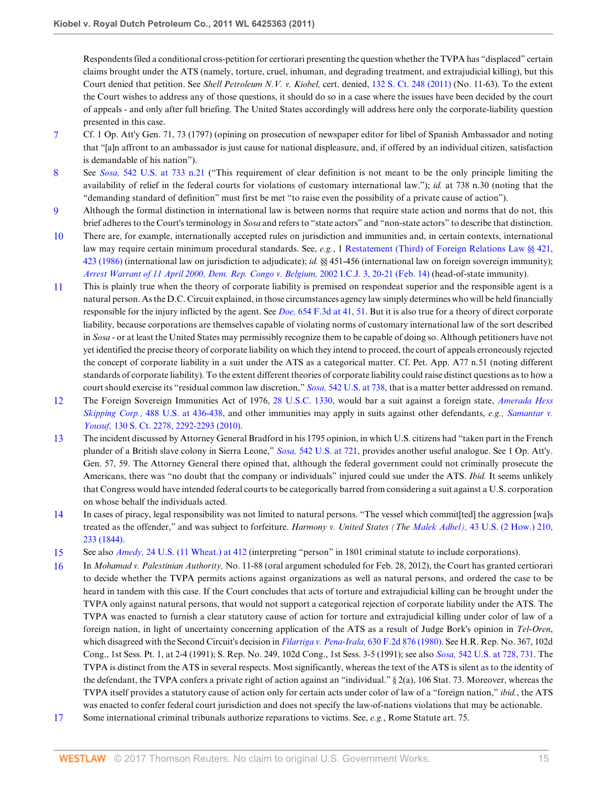Respondents filed a conditional cross-petition for certiorari presenting the question whether the TVPA has "displaced" certain claims brought under the ATS (namely, torture, cruel, inhuman, and degrading treatment, and extrajudicial killing), but this Court denied that petition. See *Shell Petroleum N.V. v. Kiobel,* cert. denied, [132 S. Ct. 248 \(2011\)](http://www.westlaw.com/Link/Document/FullText?findType=Y&serNum=2026259609&pubNum=708&originatingDoc=I5855366f2d3d11e1bd928e1973ff4e60&refType=RP&originationContext=document&vr=3.0&rs=cblt1.0&transitionType=DocumentItem&contextData=(sc.RelatedInfo)) (No. 11-63). To the extent the Court wishes to address any of those questions, it should do so in a case where the issues have been decided by the court of appeals - and only after full briefing. The United States accordingly will address here only the corporate-liability question presented in this case.

- <span id="page-14-0"></span>[7](#page-8-0) Cf. 1 Op. Att'y Gen. 71, 73 (1797) (opining on prosecution of newspaper editor for libel of Spanish Ambassador and noting that "[a]n affront to an ambassador is just cause for national displeasure, and, if offered by an individual citizen, satisfaction is demandable of his nation").
- <span id="page-14-1"></span>[8](#page-8-1) See *Sosa,* [542 U.S. at 733 n.21](http://www.westlaw.com/Link/Document/FullText?findType=Y&serNum=2004637442&pubNum=780&originatingDoc=I5855366f2d3d11e1bd928e1973ff4e60&refType=RP&fi=co_pp_sp_780_733&originationContext=document&vr=3.0&rs=cblt1.0&transitionType=DocumentItem&contextData=(sc.RelatedInfo)#co_pp_sp_780_733) ("This requirement of clear definition is not meant to be the only principle limiting the availability of relief in the federal courts for violations of customary international law."); *id.* at 738 n.30 (noting that the "demanding standard of definition" must first be met "to raise even the possibility of a private cause of action").
- <span id="page-14-2"></span>[9](#page-9-0) Although the formal distinction in international law is between norms that require state action and norms that do not, this brief adheres to the Court's terminology in *Sosa* and refers to "state actors" and "non-state actors" to describe that distinction.
- <span id="page-14-3"></span>[10](#page-9-1) There are, for example, internationally accepted rules on jurisdiction and immunities and, in certain contexts, international law may require certain minimum procedural standards. See, *e.g.*, 1 [Restatement \(Third\) of Foreign Relations Law §§ 421,](http://www.westlaw.com/Link/Document/FullText?findType=Y&serNum=0289476790&pubNum=0102182&originatingDoc=I5855366f2d3d11e1bd928e1973ff4e60&refType=TS&originationContext=document&vr=3.0&rs=cblt1.0&transitionType=DocumentItem&contextData=(sc.RelatedInfo)) [423 \(1986\)](http://www.westlaw.com/Link/Document/FullText?findType=Y&serNum=0289476792&pubNum=0102182&originatingDoc=I5855366f2d3d11e1bd928e1973ff4e60&refType=TS&originationContext=document&vr=3.0&rs=cblt1.0&transitionType=DocumentItem&contextData=(sc.RelatedInfo)) (international law on jurisdiction to adjudicate); *id.* §§ 451-456 (international law on foreign sovereign immunity); *[Arrest Warrant of 11 April 2000, Dem. Rep. Congo v. Belgium,](http://www.westlaw.com/Link/Document/FullText?findType=Y&serNum=2007652256&pubNum=147&originatingDoc=I5855366f2d3d11e1bd928e1973ff4e60&refType=IC&fi=co_pp_sp_147_20&originationContext=document&vr=3.0&rs=cblt1.0&transitionType=DocumentItem&contextData=(sc.RelatedInfo)#co_pp_sp_147_20)* 2002 I.C.J. 3, 20-21 (Feb. 14) (head-of-state immunity).
- <span id="page-14-4"></span>[11](#page-10-0) This is plainly true when the theory of corporate liability is premised on respondeat superior and the responsible agent is a natural person. As the D.C. Circuit explained, in those circumstances agency law simply determines who will be held financially responsible for the injury inflicted by the agent. See *Doe,* [654 F.3d at 41, 51.](http://www.westlaw.com/Link/Document/FullText?findType=Y&serNum=2025629981&pubNum=506&originatingDoc=I5855366f2d3d11e1bd928e1973ff4e60&refType=RP&fi=co_pp_sp_506_41&originationContext=document&vr=3.0&rs=cblt1.0&transitionType=DocumentItem&contextData=(sc.RelatedInfo)#co_pp_sp_506_41) But it is also true for a theory of direct corporate liability, because corporations are themselves capable of violating norms of customary international law of the sort described in *Sosa* - or at least the United States may permissibly recognize them to be capable of doing so. Although petitioners have not yet identified the precise theory of corporate liability on which they intend to proceed, the court of appeals erroneously rejected the concept of corporate liability in a suit under the ATS as a categorical matter. Cf. Pet. App. A77 n.51 (noting different standards of corporate liability). To the extent different theories of corporate liability could raise distinct questions as to how a court should exercise its "residual common law discretion," *Sosa,* [542 U.S. at 738,](http://www.westlaw.com/Link/Document/FullText?findType=Y&serNum=2004637442&pubNum=780&originatingDoc=I5855366f2d3d11e1bd928e1973ff4e60&refType=RP&fi=co_pp_sp_780_738&originationContext=document&vr=3.0&rs=cblt1.0&transitionType=DocumentItem&contextData=(sc.RelatedInfo)#co_pp_sp_780_738) that is a matter better addressed on remand.
- <span id="page-14-5"></span>[12](#page-10-1) The Foreign Sovereign Immunities Act of 1976, [28 U.S.C. 1330](http://www.westlaw.com/Link/Document/FullText?findType=L&pubNum=1000546&cite=28USCAS1330&originatingDoc=I5855366f2d3d11e1bd928e1973ff4e60&refType=LQ&originationContext=document&vr=3.0&rs=cblt1.0&transitionType=DocumentItem&contextData=(sc.RelatedInfo)), would bar a suit against a foreign state, *[Amerada Hess](http://www.westlaw.com/Link/Document/FullText?findType=Y&serNum=1989012994&pubNum=780&originatingDoc=I5855366f2d3d11e1bd928e1973ff4e60&refType=RP&fi=co_pp_sp_780_436&originationContext=document&vr=3.0&rs=cblt1.0&transitionType=DocumentItem&contextData=(sc.RelatedInfo)#co_pp_sp_780_436) Skipping Corp.,* [488 U.S. at 436-438,](http://www.westlaw.com/Link/Document/FullText?findType=Y&serNum=1989012994&pubNum=780&originatingDoc=I5855366f2d3d11e1bd928e1973ff4e60&refType=RP&fi=co_pp_sp_780_436&originationContext=document&vr=3.0&rs=cblt1.0&transitionType=DocumentItem&contextData=(sc.RelatedInfo)#co_pp_sp_780_436) and other immunities may apply in suits against other defendants, *e.g., [Samantar v.](http://www.westlaw.com/Link/Document/FullText?findType=Y&serNum=2022190725&pubNum=708&originatingDoc=I5855366f2d3d11e1bd928e1973ff4e60&refType=RP&fi=co_pp_sp_708_2292&originationContext=document&vr=3.0&rs=cblt1.0&transitionType=DocumentItem&contextData=(sc.RelatedInfo)#co_pp_sp_708_2292) Yousuf,* [130 S. Ct. 2278, 2292-2293 \(2010\).](http://www.westlaw.com/Link/Document/FullText?findType=Y&serNum=2022190725&pubNum=708&originatingDoc=I5855366f2d3d11e1bd928e1973ff4e60&refType=RP&fi=co_pp_sp_708_2292&originationContext=document&vr=3.0&rs=cblt1.0&transitionType=DocumentItem&contextData=(sc.RelatedInfo)#co_pp_sp_708_2292)
- <span id="page-14-6"></span>[13](#page-11-0) The incident discussed by Attorney General Bradford in his 1795 opinion, in which U.S. citizens had "taken part in the French plunder of a British slave colony in Sierra Leone," *Sosa,* [542 U.S. at 721,](http://www.westlaw.com/Link/Document/FullText?findType=Y&serNum=2004637442&pubNum=780&originatingDoc=I5855366f2d3d11e1bd928e1973ff4e60&refType=RP&fi=co_pp_sp_780_721&originationContext=document&vr=3.0&rs=cblt1.0&transitionType=DocumentItem&contextData=(sc.RelatedInfo)#co_pp_sp_780_721) provides another useful analogue. See 1 Op. Att'y. Gen. 57, 59. The Attorney General there opined that, although the federal government could not criminally prosecute the Americans, there was "no doubt that the company or individuals" injured could sue under the ATS. *Ibid.* It seems unlikely that Congress would have intended federal courts to be categorically barred from considering a suit against a U.S. corporation on whose behalf the individuals acted.
- <span id="page-14-7"></span>[14](#page-11-1) In cases of piracy, legal responsibility was not limited to natural persons. "The vessel which commit[ted] the aggression [wa]s treated as the offender," and was subject to forfeiture. *Harmony v. United States (The Malek Adhel),* [43 U.S. \(2 How.\) 210,](http://www.westlaw.com/Link/Document/FullText?findType=Y&serNum=1800105005&pubNum=780&originatingDoc=I5855366f2d3d11e1bd928e1973ff4e60&refType=RP&fi=co_pp_sp_780_233&originationContext=document&vr=3.0&rs=cblt1.0&transitionType=DocumentItem&contextData=(sc.RelatedInfo)#co_pp_sp_780_233) [233 \(1844\).](http://www.westlaw.com/Link/Document/FullText?findType=Y&serNum=1800105005&pubNum=780&originatingDoc=I5855366f2d3d11e1bd928e1973ff4e60&refType=RP&fi=co_pp_sp_780_233&originationContext=document&vr=3.0&rs=cblt1.0&transitionType=DocumentItem&contextData=(sc.RelatedInfo)#co_pp_sp_780_233)
- <span id="page-14-8"></span>[15](#page-11-2) See also *Amedy,* [24 U.S. \(11 Wheat.\) at 412](http://www.westlaw.com/Link/Document/FullText?findType=Y&serNum=1800134016&pubNum=780&originatingDoc=I5855366f2d3d11e1bd928e1973ff4e60&refType=RP&fi=co_pp_sp_780_412&originationContext=document&vr=3.0&rs=cblt1.0&transitionType=DocumentItem&contextData=(sc.RelatedInfo)#co_pp_sp_780_412) (interpreting "person" in 1801 criminal statute to include corporations).
- <span id="page-14-9"></span>[16](#page-12-0) In *Mohamad v. Palestinian Authority,* No. 11-88 (oral argument scheduled for Feb. 28, 2012), the Court has granted certiorari to decide whether the TVPA permits actions against organizations as well as natural persons, and ordered the case to be heard in tandem with this case. If the Court concludes that acts of torture and extrajudicial killing can be brought under the TVPA only against natural persons, that would not support a categorical rejection of corporate liability under the ATS. The TVPA was enacted to furnish a clear statutory cause of action for torture and extrajudicial killing under color of law of a foreign nation, in light of uncertainty concerning application of the ATS as a result of Judge Bork's opinion in *Tel-Oren*, which disagreed with the Second Circuit's decision in *[Filartiga v. Pena-Irala,](http://www.westlaw.com/Link/Document/FullText?findType=Y&serNum=1980125293&pubNum=350&originatingDoc=I5855366f2d3d11e1bd928e1973ff4e60&refType=RP&originationContext=document&vr=3.0&rs=cblt1.0&transitionType=DocumentItem&contextData=(sc.RelatedInfo))* 630 F.2d 876 (1980). See H.R. Rep. No. 367, 102d Cong., 1st Sess. Pt. 1, at 2-4 (1991); S. Rep. No. 249, 102d Cong., 1st Sess. 3-5 (1991); see also *Sosa,* [542 U.S. at 728, 731.](http://www.westlaw.com/Link/Document/FullText?findType=Y&serNum=2004637442&pubNum=780&originatingDoc=I5855366f2d3d11e1bd928e1973ff4e60&refType=RP&fi=co_pp_sp_780_728&originationContext=document&vr=3.0&rs=cblt1.0&transitionType=DocumentItem&contextData=(sc.RelatedInfo)#co_pp_sp_780_728) The TVPA is distinct from the ATS in several respects. Most significantly, whereas the text of the ATS is silent as to the identity of the defendant, the TVPA confers a private right of action against an "individual." § 2(a), 106 Stat. 73. Moreover, whereas the TVPA itself provides a statutory cause of action only for certain acts under color of law of a "foreign nation," *ibid.*, the ATS was enacted to confer federal court jurisdiction and does not specify the law-of-nations violations that may be actionable.
- <span id="page-14-10"></span>[17](#page-12-1) Some international criminal tribunals authorize reparations to victims. See, *e.g.*, Rome Statute art. 75.